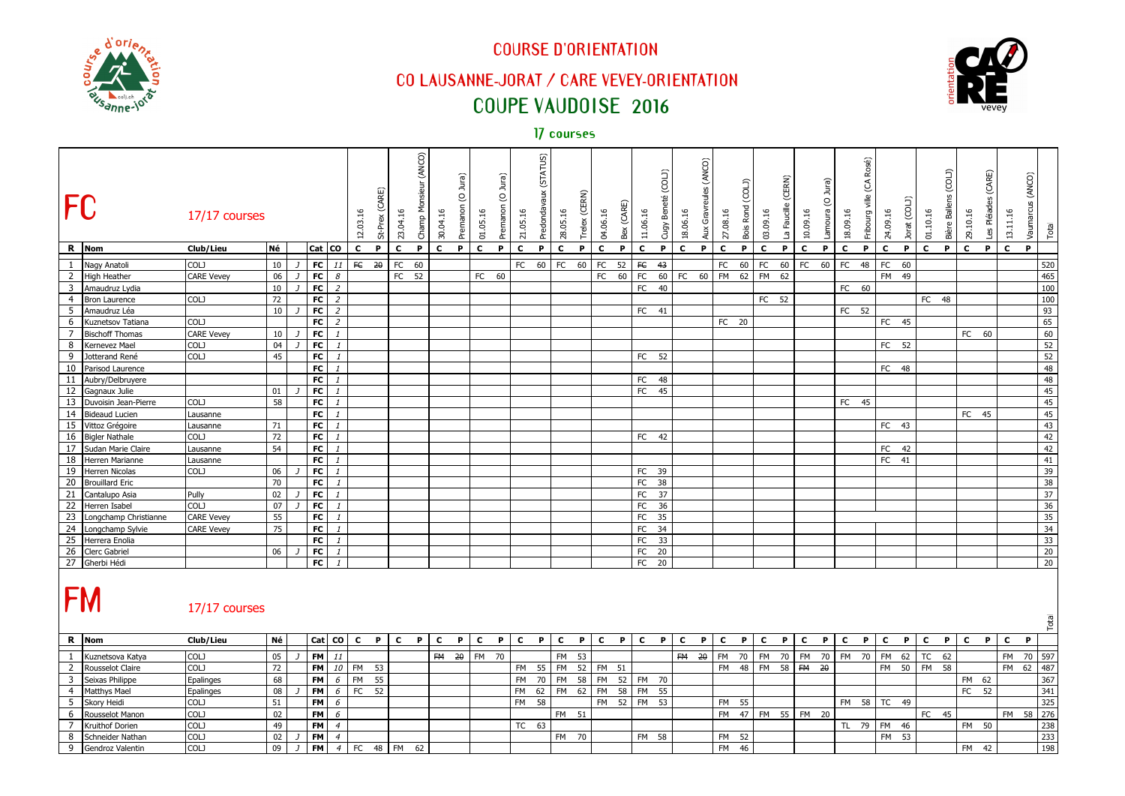

#### **CO LAUSANNE-JORAT / CARE VEVEY-ORIENTATION**



#### **COUPE VAUDOISE 2016**

**17 courses**

| FC             |                        | 17/17 courses              |    |                |                |                  | 12.03.16        | St-Prex (CARE) | Champ Monsieur (ANCO)<br>23.04.16 | 30.04.16     | (O Jura)<br>Premanon | 01.05.16    | (O Jura)<br>Premanon | 21.05.16     | (STATUS)<br>Predondav | 28.05.16  | Trelex (CERN) | 04.06.16     | Bex (CARE) | 11.06.16     | (CDL)<br>Cugy Bene | 18.06.16    | (ANCO)<br>Aux Gravreules | 27.08.16    | (CDL)<br><b>Bois Rond</b> | (CERN)<br>03.09.16 | La Faucille | (DINE O)<br>Lamoura<br>10.09.16 | 18.09.16    | Fribourg ville (CA Rosé) | 24.09.16     | Jorat (COLJ) | 01.10.16     | Bière Ballens (COLJ) | 29.10.16     | (CARE)<br>Les Pléiades | 13.11.16     | Vaumarcus (ANCO) | Total           |
|----------------|------------------------|----------------------------|----|----------------|----------------|------------------|-----------------|----------------|-----------------------------------|--------------|----------------------|-------------|----------------------|--------------|-----------------------|-----------|---------------|--------------|------------|--------------|--------------------|-------------|--------------------------|-------------|---------------------------|--------------------|-------------|---------------------------------|-------------|--------------------------|--------------|--------------|--------------|----------------------|--------------|------------------------|--------------|------------------|-----------------|
|                | R Nom                  | Club/Lieu                  | Né |                | Cat CO         |                  | c               | P              | c<br>P                            | $\mathbf{c}$ | P                    | C           | P                    | $\mathbf{c}$ | P                     | C         | P             | $\mathbf c$  | P          | $\mathbf{c}$ | P                  | $\mathbf c$ | P                        | $\mathbf c$ | P                         | c<br>P             |             | $\mathbf{c}$<br>P               | c           | P                        | $\mathbf{c}$ | P            | $\mathbf{c}$ | P                    | $\mathbf{c}$ | P.                     | $\mathbf{c}$ | P                |                 |
|                | 1 Nagy Anatoli         | <b>COLJ</b>                | 10 | $\overline{J}$ | $\mathsf{FC}$  | 11               | FC<br>20        |                | 60<br>FC                          |              |                      |             |                      | FC           | 60                    | FC        | 60            | FC           | 52         | F E          | 43                 |             |                          | FC          | 60                        | 60<br>FC           |             | FC<br>60                        | FC          | 48                       | FC           | 60           |              |                      |              |                        |              |                  | 520             |
|                | 2 High Heather         | <b>CARE</b> Vevey          | 06 |                | ${\sf FC}$     | $\boldsymbol{s}$ |                 |                | $FC$ 52                           |              |                      | FC 60       |                      |              |                       |           |               | $FC$         | 60         | ${\sf FC}$   | 60                 | FC          | 60                       | FM          | 62                        | FM<br>62           |             |                                 |             |                          | FM           | 49           |              |                      |              |                        |              |                  | 465             |
|                | 3 Amaudruz Lydia       |                            | 10 |                | FC             | $\overline{2}$   |                 |                |                                   |              |                      |             |                      |              |                       |           |               |              |            | FC           | 40                 |             |                          |             |                           |                    |             |                                 | FC          | 60                       |              |              |              |                      |              |                        |              |                  | 100             |
| $\overline{4}$ | <b>Bron Laurence</b>   | COLJ                       | 72 |                | FC             | $\overline{2}$   |                 |                |                                   |              |                      |             |                      |              |                       |           |               |              |            |              |                    |             |                          |             |                           | FC 52              |             |                                 |             |                          |              |              |              | FC 48                |              |                        |              |                  | 100             |
| 5 <sub>1</sub> | Amaudruz Léa           |                            | 10 |                | FC             | $\overline{2}$   |                 |                |                                   |              |                      |             |                      |              |                       |           |               |              |            | FC 41        |                    |             |                          |             |                           |                    |             |                                 |             | FC 52                    |              |              |              |                      |              |                        |              |                  | 93              |
| 6 <sup>1</sup> | Kuznetsov Tatiana      | COLJ                       |    |                | ${\sf FC}$     | $\overline{2}$   |                 |                |                                   |              |                      |             |                      |              |                       |           |               |              |            |              |                    |             |                          | FC 20       |                           |                    |             |                                 |             |                          |              | FC 45        |              |                      |              |                        |              |                  | 65              |
| $\overline{7}$ | <b>Bischoff Thomas</b> | <b>CARE Vevey</b>          | 10 |                | FC             | $\mathbf{1}$     |                 |                |                                   |              |                      |             |                      |              |                       |           |               |              |            |              |                    |             |                          |             |                           |                    |             |                                 |             |                          |              |              |              |                      | FC 60        |                        |              |                  | $\frac{60}{52}$ |
| 8              | Kernevez Mael          | <b>COLJ</b>                | 04 |                | FC             | $\mathbf{1}$     |                 |                |                                   |              |                      |             |                      |              |                       |           |               |              |            |              |                    |             |                          |             |                           |                    |             |                                 |             |                          |              | FC 52        |              |                      |              |                        |              |                  |                 |
| 9              | Jotterand René         | COLJ                       | 45 |                | F <sub>C</sub> | $\mathbf{1}$     |                 |                |                                   |              |                      |             |                      |              |                       |           |               |              |            |              | FC 52              |             |                          |             |                           |                    |             |                                 |             |                          |              |              |              |                      |              |                        |              |                  | 52              |
| 10             | Parisod Laurence       |                            |    |                | FC             | $\mathbf{1}$     |                 |                |                                   |              |                      |             |                      |              |                       |           |               |              |            |              |                    |             |                          |             |                           |                    |             |                                 |             |                          |              | FC 48        |              |                      |              |                        |              |                  | 48              |
| 11             | Aubry/Delbruyere       |                            |    |                | FC             | $\mathbf{1}$     |                 |                |                                   |              |                      |             |                      |              |                       |           |               |              |            |              | FC 48              |             |                          |             |                           |                    |             |                                 |             |                          |              |              |              |                      |              |                        |              |                  | 48              |
| 12             | Gagnaux Julie          |                            | 01 |                | <b>FC</b>      | $\mathbf{1}$     |                 |                |                                   |              |                      |             |                      |              |                       |           |               |              |            | FC           | 45                 |             |                          |             |                           |                    |             |                                 |             |                          |              |              |              |                      |              |                        |              |                  | 45              |
| 13             | Duvoisin Jean-Pierre   | <b>COLJ</b>                | 58 |                | FC             |                  |                 |                |                                   |              |                      |             |                      |              |                       |           |               |              |            |              |                    |             |                          |             |                           |                    |             |                                 | FC          | 45                       |              |              |              |                      |              |                        |              |                  | 45              |
| 14             | <b>Bideaud Lucien</b>  | Lausanne                   |    |                | FC             | $\mathbf{1}$     |                 |                |                                   |              |                      |             |                      |              |                       |           |               |              |            |              |                    |             |                          |             |                           |                    |             |                                 |             |                          |              |              |              |                      | FC 45        |                        |              |                  | 45              |
|                | 15 Vittoz Grégoire     | Lausanne                   | 71 |                | FC             | $\mathbf{1}$     |                 |                |                                   |              |                      |             |                      |              |                       |           |               |              |            |              |                    |             |                          |             |                           |                    |             |                                 |             |                          |              | FC 43        |              |                      |              |                        |              |                  | 43              |
| 16             | <b>Bigler Nathale</b>  | <b>COLJ</b>                | 72 |                | $\mathsf{FC}$  |                  |                 |                |                                   |              |                      |             |                      |              |                       |           |               |              |            |              | FC 42              |             |                          |             |                           |                    |             |                                 |             |                          |              |              |              |                      |              |                        |              |                  |                 |
|                | 17 Sudan Marie Claire  | Lausanne                   | 54 |                | ${\sf FC}$     | $\mathbf{1}$     |                 |                |                                   |              |                      |             |                      |              |                       |           |               |              |            |              |                    |             |                          |             |                           |                    |             |                                 |             |                          | FC           | 42           |              |                      |              |                        |              |                  | $\frac{42}{42}$ |
| 18             | Herren Marianne        | Lausanne                   |    |                | FC             |                  |                 |                |                                   |              |                      |             |                      |              |                       |           |               |              |            |              |                    |             |                          |             |                           |                    |             |                                 |             |                          | FC           | 41           |              |                      |              |                        |              |                  | 41              |
| 19             | Herren Nicolas         | <b>COLJ</b>                | 06 |                | ${\sf FC}$     | $\mathbf{1}$     |                 |                |                                   |              |                      |             |                      |              |                       |           |               |              |            | FC 39        |                    |             |                          |             |                           |                    |             |                                 |             |                          |              |              |              |                      |              |                        |              |                  | 39              |
| 20             | <b>Brouillard Eric</b> |                            | 70 |                | ${\sf FC}$     | $\mathbf{1}$     |                 |                |                                   |              |                      |             |                      |              |                       |           |               |              |            | FC           | 38                 |             |                          |             |                           |                    |             |                                 |             |                          |              |              |              |                      |              |                        |              |                  | 38              |
| 21             | Cantalupo Asia         | Pully                      | 02 |                | F <sub>C</sub> | $\mathbf{1}$     |                 |                |                                   |              |                      |             |                      |              |                       |           |               |              |            | FC           | 37                 |             |                          |             |                           |                    |             |                                 |             |                          |              |              |              |                      |              |                        |              |                  | 37              |
| 22             | Herren Isabel          | COLJ                       | 07 |                | FC             | $\mathbf{1}$     |                 |                |                                   |              |                      |             |                      |              |                       |           |               |              |            | ${\sf FC}$   | 36                 |             |                          |             |                           |                    |             |                                 |             |                          |              |              |              |                      |              |                        |              |                  |                 |
| 23             | Longchamp Christianne  | <b>CARE Vevey</b>          | 55 |                | FC             | $\mathbf{1}$     |                 |                |                                   |              |                      |             |                      |              |                       |           |               |              |            | FC           | 35                 |             |                          |             |                           |                    |             |                                 |             |                          |              |              |              |                      |              |                        |              |                  | $\frac{36}{35}$ |
| 24             | Longchamp Sylvie       | <b>CARE Vevey</b>          | 75 |                | FC             | $\mathbf{1}$     |                 |                |                                   |              |                      |             |                      |              |                       |           |               |              |            | FC           | 34                 |             |                          |             |                           |                    |             |                                 |             |                          |              |              |              |                      |              |                        |              |                  | 34              |
| 25             | Herrera Enolia         |                            |    |                | FC             | $\mathbf{1}$     |                 |                |                                   |              |                      |             |                      |              |                       |           |               |              |            | ${\sf FC}$   | 33                 |             |                          |             |                           |                    |             |                                 |             |                          |              |              |              |                      |              |                        |              |                  | 33              |
|                | 26 Clerc Gabriel       |                            | 06 |                | ${\sf FC}$     | $\mathbf{1}$     |                 |                |                                   |              |                      |             |                      |              |                       |           |               |              |            | ${\sf FC}$   | 20                 |             |                          |             |                           |                    |             |                                 |             |                          |              |              |              |                      |              |                        |              |                  | 20              |
|                | 27 Gherbi Hédi         |                            |    |                | FC             | $\mathbf{1}$     |                 |                |                                   |              |                      |             |                      |              |                       |           |               |              |            | FC           | 20                 |             |                          |             |                           |                    |             |                                 |             |                          |              |              |              |                      |              |                        |              |                  | 20              |
| FM             | R Nom                  | 17/17 courses<br>Club/Lieu | Νé |                | Cat            | co               | $\mathbf{c}$    | P              | $\mathbf{c}$<br>$\mathbf{P}$      | $\mathbf c$  | P                    | c           | P                    | $\mathbf{c}$ | P                     | c         | P             | $\mathbf{c}$ | P          | $\mathbf{c}$ | P I                | $\mathbf c$ | P                        | $\mathbf c$ | P.                        | $\mathbf c$<br>P.  |             | $\mathbf c$<br>P.               | $\mathbf c$ | P                        | $\mathbf c$  | P            | C            | P                    | $\mathbf{c}$ | P.                     | c            | P                | Total           |
|                |                        |                            |    |                |                |                  |                 |                |                                   |              |                      |             |                      |              |                       |           |               |              |            |              |                    |             |                          |             |                           |                    |             |                                 |             |                          |              |              |              |                      |              |                        |              |                  |                 |
| $\mathbf{1}$   | Kuznetsova Katya       | COLJ                       | 05 |                | <b>FM</b>      | 11               |                 |                |                                   |              |                      | FM 20 FM 70 |                      |              |                       | FM        | 53            |              |            |              |                    | $F/M = 20$  |                          | <b>FM</b>   | 70                        | <b>FM</b>          | 70 FM       |                                 |             | 70 FM 70                 | FM           | 62           | <b>TC</b>    | 62                   |              |                        | <b>FM</b>    | 70               | 597             |
| $\overline{2}$ | Rousselot Claire       | COLJ                       | 72 |                | <b>FM</b>      | 10               | <b>FM</b><br>53 |                |                                   |              |                      |             |                      |              | FM 55 FM              |           |               | 52 FM 51     |            |              |                    |             |                          | FM          |                           | 48 FM              |             | 58 FM<br>- 20                   |             |                          |              | FM 50 FM     |              | 58                   |              |                        | FM 62        |                  | 487             |
| 3              | Seixas Philippe        | Epalinges                  | 68 |                | <b>FM</b>      | 6                | <b>FM</b>       | 55             |                                   |              |                      |             |                      | <b>FM</b>    | 70 l                  | <b>FM</b> |               | 58 FM 52     |            | FM 70        |                    |             |                          |             |                           |                    |             |                                 |             |                          |              |              |              |                      | FM 62        |                        |              |                  | 367             |
| $\overline{4}$ | Matthys Mael           | Epalinges                  | 08 |                | <b>FM</b>      | 6                | FC 52           |                |                                   |              |                      |             |                      | FM           | 62                    | FM        | 62            | FM           | 58         | <b>FM</b>    | 55                 |             |                          |             |                           |                    |             |                                 |             |                          |              |              |              |                      | FC           | 52                     |              |                  | 341             |
| 5              | Skory Heidi            | <b>COLJ</b>                | 51 |                | <b>FM</b>      | 6                |                 |                |                                   |              |                      |             |                      | <b>FM</b>    | 58                    |           |               |              | FM 52      | FM 53        |                    |             |                          | FM 55       |                           |                    |             |                                 |             | FM 58                    | TC           | 49           |              |                      |              |                        |              |                  | 325             |
| 6              | Rousselot Manon        | COLJ                       | 02 |                | <b>FM</b>      | 6                |                 |                |                                   |              |                      |             |                      |              |                       | FM 51     |               |              |            |              |                    |             |                          | <b>FM</b>   |                           | 47 FM 55 FM 20     |             |                                 |             |                          |              |              | FC           | 45                   |              |                        | FM 58        |                  | 276             |
|                | 7 Kruithof Dorien      | COLJ                       | 49 |                | <b>FM</b>      | $\overline{4}$   |                 |                |                                   |              |                      |             |                      | TC 63        |                       |           |               |              |            |              |                    |             |                          |             |                           |                    |             |                                 |             | TL 79                    | FM           | 46           |              |                      | FM 50        |                        |              |                  | 238             |

7 Kruithof Dorien COLJ 49 **FM** <sup>4</sup> TC 63 TL 79 FM 46 FM 50 238 8 Schneider Nathan COLJ 02 <sup>J</sup> **FM** <sup>4</sup> FM 70 FM 58 FM 52 FM 53 233 9 Gendroz Valentin COLJ 02 J **FM** 4 FC 48 FM 62 FM 70 FM 58 FM 52 FM 53 FM 53 FM 53<br>9 Gendroz Valentin COLJ 09 J **FM** 4 FC 48 FM 62 FM 70 FM 46 FM 46 FM 53 FM 42 198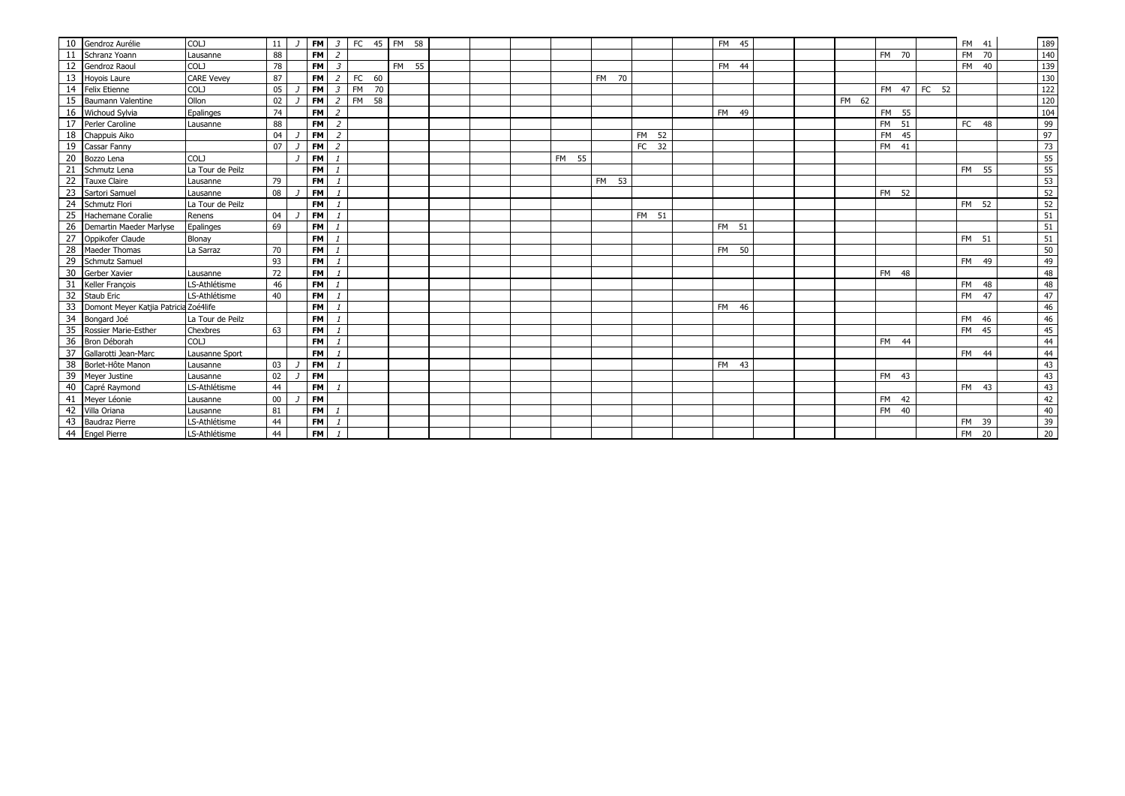|                 | 10 Gendroz Aurélie                    | <b>COLJ</b>       | 11     |                | <b>FM</b> | $\mathcal{Z}$  |           |       | FC 45 FM 58 |  |  |           |    |       |       |  | FM 45           |  |       |                 |                 |           | FM 41 | 189 |
|-----------------|---------------------------------------|-------------------|--------|----------------|-----------|----------------|-----------|-------|-------------|--|--|-----------|----|-------|-------|--|-----------------|--|-------|-----------------|-----------------|-----------|-------|-----|
|                 | 11 Schranz Yoann                      | Lausanne          | 88     |                | <b>FM</b> | $\overline{z}$ |           |       |             |  |  |           |    |       |       |  |                 |  |       | FM 70           |                 |           | FM 70 | 140 |
|                 | 12 Gendroz Raoul                      | <b>COLJ</b>       | 78     |                | <b>FM</b> | $\overline{3}$ |           |       | FM 55       |  |  |           |    |       |       |  | FM 44           |  |       |                 |                 |           | FM 40 | 139 |
|                 | 13 Hoyois Laure                       | <b>CARE Vevey</b> | 87     |                | <b>FM</b> | $\overline{2}$ |           | FC 60 |             |  |  |           |    | FM 70 |       |  |                 |  |       |                 |                 |           |       | 130 |
| 14              | <b>Felix Etienne</b>                  | <b>COLJ</b>       | 05     |                | <b>FM</b> | $\overline{3}$ | <b>FM</b> | 70    |             |  |  |           |    |       |       |  |                 |  |       | FM 47           | <b>FC</b><br>52 |           |       | 122 |
| 15              | <b>Baumann Valentine</b>              | Ollon             | 02     |                | <b>FM</b> | $\overline{z}$ |           | FM 58 |             |  |  |           |    |       |       |  |                 |  | FM 62 |                 |                 |           |       | 120 |
| 16              | Wichoud Sylvia                        | Epalinges         | 74     |                | <b>FM</b> | 2              |           |       |             |  |  |           |    |       |       |  | FM 49           |  |       | FM 55           |                 |           |       | 104 |
| 17              | Perler Caroline                       | Lausanne          | 88     |                | <b>FM</b> | $\overline{2}$ |           |       |             |  |  |           |    |       |       |  |                 |  |       | <b>FM</b><br>51 |                 |           | FC 48 | 99  |
|                 | 18 Chappuis Aiko                      |                   | 04     |                | <b>FM</b> | $\overline{2}$ |           |       |             |  |  |           |    |       | FM 52 |  |                 |  |       | <b>FM</b><br>45 |                 |           |       | 97  |
| 19              | <b>Cassar Fanny</b>                   |                   | 07     |                | <b>FM</b> | $\overline{2}$ |           |       |             |  |  |           |    |       | FC 32 |  |                 |  |       | <b>FM</b><br>41 |                 |           |       | 73  |
| 20              | Bozzo Lena                            | <b>COLJ</b>       |        | $\overline{1}$ | <b>FM</b> |                |           |       |             |  |  | <b>FM</b> | 55 |       |       |  |                 |  |       |                 |                 |           |       | 55  |
| 21              | Schmutz Lena                          | La Tour de Peilz  |        |                | <b>FM</b> |                |           |       |             |  |  |           |    |       |       |  |                 |  |       |                 |                 |           | FM 55 | 55  |
| 22              | <b>Tauxe Claire</b>                   | Lausanne          | 79     |                | <b>FM</b> |                |           |       |             |  |  |           |    | FM 53 |       |  |                 |  |       |                 |                 |           |       | 53  |
| 23              | Sartori Samuel                        | Lausanne          | 08     |                | <b>FM</b> |                |           |       |             |  |  |           |    |       |       |  |                 |  |       | FM 52           |                 |           |       | 52  |
| 24              | Schmutz Flori                         | La Tour de Peilz  |        |                | <b>FM</b> |                |           |       |             |  |  |           |    |       |       |  |                 |  |       |                 |                 | FM 52     |       | 52  |
| 25              | Hachemane Coralie                     | Renens            | 04     |                | <b>FM</b> |                |           |       |             |  |  |           |    |       | FM 51 |  |                 |  |       |                 |                 |           |       | 51  |
| 26              | Demartin Maeder Marlyse               | Epalinges         | 69     |                | <b>FM</b> |                |           |       |             |  |  |           |    |       |       |  | FM 51           |  |       |                 |                 |           |       | 51  |
| $\overline{27}$ | Oppikofer Claude                      | Blonay            |        |                | <b>FM</b> |                |           |       |             |  |  |           |    |       |       |  |                 |  |       |                 |                 | FM 51     |       | 51  |
| 28              | <b>Maeder Thomas</b>                  | La Sarraz         | 70     |                | <b>FM</b> | 1              |           |       |             |  |  |           |    |       |       |  | FM 50           |  |       |                 |                 |           |       | 50  |
| 29              | Schmutz Samuel                        |                   | 93     |                | <b>FM</b> | $\mathbf{1}$   |           |       |             |  |  |           |    |       |       |  |                 |  |       |                 |                 |           | FM 49 | 49  |
| 30              | Gerber Xavier                         | Lausanne          | 72     |                | <b>FM</b> |                |           |       |             |  |  |           |    |       |       |  |                 |  |       | <b>FM</b><br>48 |                 |           |       | 48  |
| 31              | Keller François                       | LS-Athlétisme     | 46     |                | <b>FM</b> |                |           |       |             |  |  |           |    |       |       |  |                 |  |       |                 |                 | <b>FM</b> | 48    | 48  |
| 32              | Staub Eric                            | LS-Athlétisme     | 40     |                | <b>FM</b> |                |           |       |             |  |  |           |    |       |       |  |                 |  |       |                 |                 | FM 47     |       | 47  |
| 33              | Domont Meyer Katjia Patricia Zoé4life |                   |        |                | <b>FM</b> |                |           |       |             |  |  |           |    |       |       |  | FM 46           |  |       |                 |                 |           |       | 46  |
|                 | 34 Bongard Joé                        | La Tour de Peilz  |        |                | <b>FM</b> |                |           |       |             |  |  |           |    |       |       |  |                 |  |       |                 |                 |           | FM 46 | 46  |
|                 | 35 Rossier Marie-Esther               | Chexbres          | 63     |                | <b>FM</b> |                |           |       |             |  |  |           |    |       |       |  |                 |  |       |                 |                 |           | FM 45 | 45  |
|                 | 36 Bron Déborah                       | <b>COLJ</b>       |        |                | <b>FM</b> | 1              |           |       |             |  |  |           |    |       |       |  |                 |  |       | <b>FM</b><br>44 |                 |           |       | 44  |
| 37              | Gallarotti Jean-Marc                  | Lausanne Sport    |        |                | <b>FM</b> |                |           |       |             |  |  |           |    |       |       |  |                 |  |       |                 |                 |           | FM 44 | 44  |
| 38              | Borlet-Hôte Manon                     | Lausanne          | 03     |                | <b>FM</b> |                |           |       |             |  |  |           |    |       |       |  | <b>FM</b><br>43 |  |       |                 |                 |           |       | 43  |
| 39              | Meyer Justine                         | Lausanne          | 02     |                | <b>FM</b> |                |           |       |             |  |  |           |    |       |       |  |                 |  |       | <b>FM</b><br>43 |                 |           |       | 43  |
| 40              | Capré Raymond                         | LS-Athlétisme     | 44     |                | <b>FM</b> |                |           |       |             |  |  |           |    |       |       |  |                 |  |       |                 |                 |           | FM 43 | 43  |
| 41              | Meyer Léonie                          | Lausanne          | $00\,$ |                | <b>FM</b> |                |           |       |             |  |  |           |    |       |       |  |                 |  |       | <b>FM</b><br>42 |                 |           |       | 42  |
| 42              | Villa Oriana                          | Lausanne          | 81     |                | <b>FM</b> |                |           |       |             |  |  |           |    |       |       |  |                 |  |       | FM 40           |                 |           |       | 40  |
| 43              | <b>Baudraz Pierre</b>                 | LS-Athlétisme     | 44     |                | <b>FM</b> |                |           |       |             |  |  |           |    |       |       |  |                 |  |       |                 |                 | FM 39     |       | 39  |
|                 | 44 Engel Pierre                       | LS-Athlétisme     | 44     |                | <b>FM</b> |                |           |       |             |  |  |           |    |       |       |  |                 |  |       |                 |                 | FM 20     |       | 20  |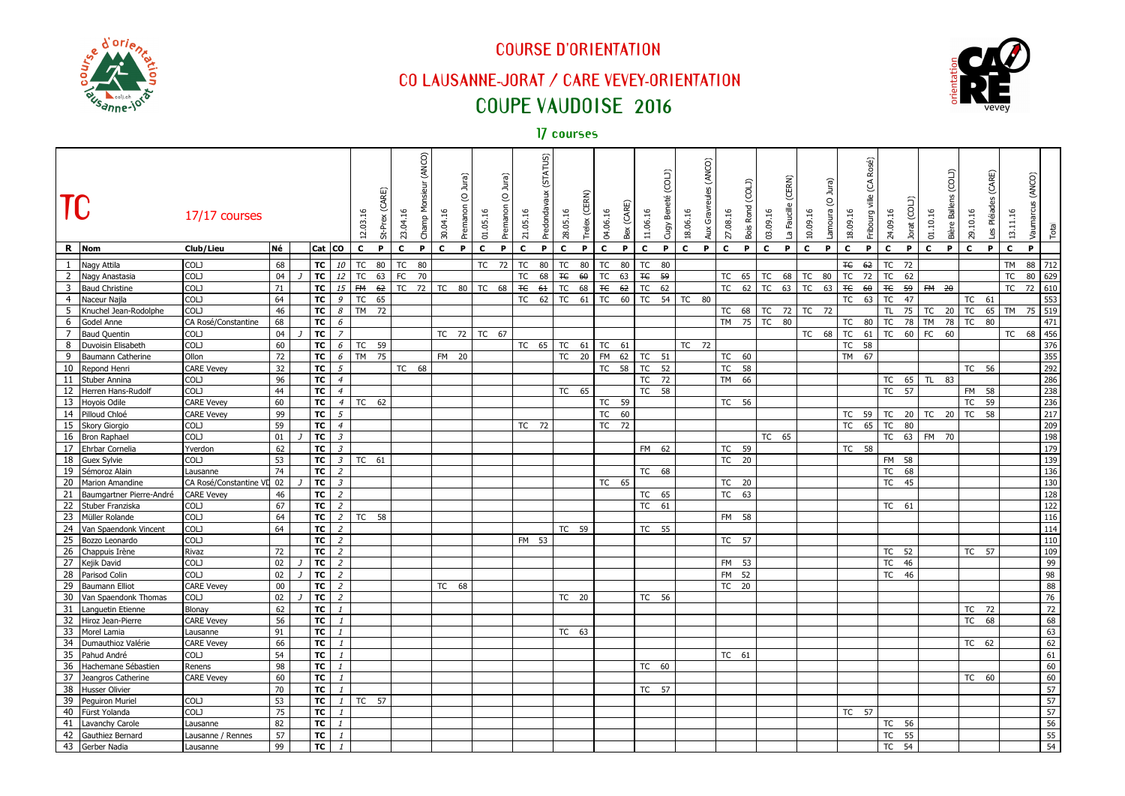

#### **CO LAUSANNE-JORAT / CARE VEVEY-ORIENTATION**



# **COUPE VAUDOISE 2016**

**17 courses**

| <b>TC</b>                              | 17/17 courses       |        |                          |                                  | 12.03.16     | St-Prex (CARE) | (ANCO)<br>Champ Monsieur<br>23.04.16 | 30.04.16     | (O Jura)<br>Premanon | 01.05.16    | (O Jura)<br>Premanon | 21.05.16      | (STATUS)<br>Predondavaux | 28.05.16    | Trelex (CERN) | 04.06.16      | Bex (CARE) | 11.06.16     | (COL)<br>Cugy Beneté | 18.06.16     | Aux Gravreules (ANCO) | 27.08.16     | (CDL)<br><b>Bois Rond</b> | 03.09.16     | (CERN)<br>La Faucille | 10.09.16               | Jura)<br>$\circ$<br>Lamoura | 18.09.16     | Rosé)<br>G<br>Fribourg ville | 24.09.16     | Jorat (COLJ) | 01.10.16     | Bière Ballens (COLJ) | 29.10.16     | (CARE)<br>Les Pléiades | 13.11.16     | Vaumarcus (ANCO) | Total      |
|----------------------------------------|---------------------|--------|--------------------------|----------------------------------|--------------|----------------|--------------------------------------|--------------|----------------------|-------------|----------------------|---------------|--------------------------|-------------|---------------|---------------|------------|--------------|----------------------|--------------|-----------------------|--------------|---------------------------|--------------|-----------------------|------------------------|-----------------------------|--------------|------------------------------|--------------|--------------|--------------|----------------------|--------------|------------------------|--------------|------------------|------------|
| R Nom                                  | Club/Lieu           | Né     |                          | $Cat$ $CO$                       | $\mathbf{C}$ | P              | $\mathbf c$<br>P                     | $\mathbf{c}$ | P                    | $\mathbf c$ | P.                   | c             | P                        | $\mathbf c$ | P             | $\mathbf{C}$  | P          | c            | P                    | $\mathbf{C}$ | P.                    | $\mathbf{c}$ | P.                        | $\mathbf{C}$ | P                     | $\mathbf{C}$           | P                           | $\mathbf{C}$ | P                            | $\mathbf{C}$ | P            | $\mathbf{C}$ | P                    | $\mathbf{C}$ | P.                     | $\mathbf{C}$ | P                |            |
| 1 Nagy Attila                          | COLJ                | 68     | тc                       | 10                               | <b>TC</b>    | 80             | <b>TC</b><br>80                      |              |                      | TC          | 72                   | <b>TC</b>     | 80                       | <b>TC</b>   | 80            | <b>TC</b>     | 80         | <b>TC</b>    | 80                   |              |                       |              |                           |              |                       |                        |                             | тc           | 62                           | <b>TC</b>    | 72           |              |                      |              |                        | <b>TM</b>    | 88               | 712        |
| 2 Nagy Anastasia                       | COLJ                | 04     | TC                       | 12                               | <b>TC</b>    | 63             | ${\sf FC}$<br>70                     |              |                      |             |                      | <b>TC</b>     | 68                       | $T_{\rm C}$ | 60            | <b>TC</b>     | 63         | $\mp \infty$ | 59                   |              |                       | <b>TC</b>    | 65                        | <b>TC</b>    | 68                    | TC                     | 80                          | <b>TC</b>    | 72                           | TC           | 62           |              |                      |              |                        | <b>TC</b>    | 80               | 629        |
| 3<br><b>Baud Christine</b>             | COLJ                | $71\,$ | ТC                       | 15                               | <b>FM</b>    | 62             | <b>TC</b><br>72                      |              | TC 80                | TC          | 68                   | $\mathsf{TC}$ | 61                       | <b>TC</b>   | 68            | $\mathsf{TC}$ | 62         | <b>TC</b>    | 62                   |              |                       | <b>TC</b>    | 62                        | TC           | 63                    | $\overline{\text{TC}}$ | 63                          | TE           | 60                           | ${\tt TC}$   | 59           | FM 20        |                      |              |                        | <b>TC</b>    | 72               | 610        |
| 4 Naceur Najla                         | COLJ                | 64     | ТC                       | 9                                | <b>TC</b>    | 65             |                                      |              |                      |             |                      | <b>TC</b>     | 62                       | <b>TC</b>   | 61            | TC            | 60         | TC           | 54                   | TC           | 80                    |              |                           |              |                       |                        |                             | <b>TC</b>    | 63                           | TC           | 47           |              |                      | TC 61        |                        |              |                  | 553        |
| 5 Knuchel Jean-Rodolphe                | COLJ                | 46     | <b>TC</b>                | 8                                | <b>TM</b>    | 72             |                                      |              |                      |             |                      |               |                          |             |               |               |            |              |                      |              |                       | TC           | 68                        | TC           | 72                    | TC 72                  |                             |              |                              | TL           | 75           | TC           | 20                   | <b>TC</b>    | 65                     | <b>TM</b>    | 75               | 519        |
| 6 Godel Anne                           | CA Rosé/Constantine | 68     | <b>TC</b>                | $\epsilon$                       |              |                |                                      |              |                      |             |                      |               |                          |             |               |               |            |              |                      |              |                       | TM 75        |                           | <b>TC</b>    | 80                    |                        |                             | TC 80        |                              | TC           | 78           | TM           | 78                   | TC           | 80                     |              |                  | 471        |
| $7^{\circ}$<br><b>Baud Quentin</b>     | COLJ                | 04     | $\overline{\mathsf{TC}}$ | $\overline{z}$                   |              |                |                                      |              | TC 72                | TC 67       |                      |               |                          |             |               |               |            |              |                      |              |                       |              |                           |              |                       | TC 68                  |                             | <b>TC</b>    | 61                           | TC 60        |              | FC           | 60                   |              |                        | <b>TC</b>    | 68               | 456        |
| Duvoisin Elisabeth<br>8                | COLJ                | 60     | TC                       | $6\overline{6}$                  | TC 59        |                |                                      |              |                      |             |                      | TC 65         |                          | TC          | 61            | TC            | 61         |              |                      | TC 72        |                       |              |                           |              |                       |                        |                             | TC 58        |                              |              |              |              |                      |              |                        |              |                  | 376        |
| 9<br><b>Baumann Catherine</b>          | Ollon               | 72     | ТC                       | 6                                | <b>TM</b>    | 75             |                                      |              | FM 20                |             |                      |               |                          | <b>TC</b>   | 20            | FM            | 62         | TC           | 51                   |              |                       | <b>TC</b>    | 60                        |              |                       |                        |                             | <b>TM</b>    | 67                           |              |              |              |                      |              |                        |              |                  | 355        |
| 10 Repond Henri                        | <b>CARE Vevey</b>   | 32     | <b>TC</b>                | 5                                |              |                | TC 68                                |              |                      |             |                      |               |                          |             |               | TC            | 58         | TC           | 52                   |              |                       | TC           | 58                        |              |                       |                        |                             |              |                              |              |              |              |                      | TC 56        |                        |              |                  | 292        |
| 11 Stuber Annina                       | COLJ                | 96     | тc                       | $\overline{4}$                   |              |                |                                      |              |                      |             |                      |               |                          |             |               |               |            | TC 72        |                      |              |                       | <b>TM</b>    | 66                        |              |                       |                        |                             |              |                              | TC 65        |              | TL 83        |                      |              |                        |              |                  | 286        |
| 12 Herren Hans-Rudolf                  | <b>COLJ</b>         | 44     | тc                       | $\overline{4}$                   |              |                |                                      |              |                      |             |                      |               |                          | TC 65       |               |               |            | TC 58        |                      |              |                       |              |                           |              |                       |                        |                             |              |                              | TC 57        |              |              |                      | FM 58        |                        |              |                  | 238        |
| 13 Hoyois Odile                        | <b>CARE Vevey</b>   | 60     | <b>TC</b>                | $\overline{4}$                   | TC 62        |                |                                      |              |                      |             |                      |               |                          |             |               | TC 59         |            |              |                      |              |                       | TC 56        |                           |              |                       |                        |                             |              |                              |              |              |              |                      | TC 59        |                        |              |                  | 236        |
| 14 Pilloud Chloé                       | <b>CARE Vevev</b>   | 99     | TC                       | 5                                |              |                |                                      |              |                      |             |                      |               |                          |             |               | <b>TC</b>     | 60         |              |                      |              |                       |              |                           |              |                       |                        |                             | TC 59        |                              | TC 20        |              | TC 20        |                      | <b>TC</b>    | 58                     |              |                  | 217        |
| 15 Skory Giorgio                       | COLJ                | 59     | $\overline{\mathsf{TC}}$ | $\overline{4}$                   |              |                |                                      |              |                      |             |                      | TC 72         |                          |             |               | <b>TC</b>     | 72         |              |                      |              |                       |              |                           |              |                       |                        |                             | <b>TC</b>    | 65                           | TC           | 80           |              |                      |              |                        |              |                  | 209        |
| 16 Bron Raphael                        | <b>COLJ</b>         | 01     | <b>TC</b>                | $\mathfrak{Z}$                   |              |                |                                      |              |                      |             |                      |               |                          |             |               |               |            |              |                      |              |                       |              |                           | TC 65        |                       |                        |                             |              |                              | TC 63        |              | FM 70        |                      |              |                        |              |                  | 198        |
| 17 Ehrbar Cornelia                     | Yverdon             | 62     | ТC                       | $\mathfrak{Z}$                   |              |                |                                      |              |                      |             |                      |               |                          |             |               |               |            | FM 62        |                      |              |                       | TC 59        |                           |              |                       |                        |                             | TC 58        |                              |              |              |              |                      |              |                        |              |                  | 179        |
| 18 Guex Sylvie                         | COLJ                | 53     | тc                       | $\mathfrak{Z}$                   | <b>TC</b>    | 61             |                                      |              |                      |             |                      |               |                          |             |               |               |            |              |                      |              |                       | <b>TC</b>    | 20                        |              |                       |                        |                             |              |                              | FM 58        |              |              |                      |              |                        |              |                  | 139        |
| 19 Sémoroz Alain                       | Lausanne            | 74     | ТC                       | $\overline{2}$                   |              |                |                                      |              |                      |             |                      |               |                          |             |               |               |            | TC           | 68                   |              |                       |              |                           |              |                       |                        |                             |              |                              | TC           | 68           |              |                      |              |                        |              |                  | 136        |
| 20 Marion Amandine                     | CA Rosé/Constantine | 02     | <b>TC</b>                | $\mathcal{Z}$                    |              |                |                                      |              |                      |             |                      |               |                          |             |               | TC 65         |            |              |                      |              |                       | TC 20        |                           |              |                       |                        |                             |              |                              | TC 45        |              |              |                      |              |                        |              |                  | 130        |
| 21 Baumgartner Pierre-André            | <b>CARE Vevey</b>   | 46     | тc                       | $\overline{2}$                   |              |                |                                      |              |                      |             |                      |               |                          |             |               |               |            | TC           | 65                   |              |                       | <b>TC</b>    | 63                        |              |                       |                        |                             |              |                              |              |              |              |                      |              |                        |              |                  | 128        |
| 22 Stuber Franziska                    | COLJ                | 67     | <b>TC</b>                | $\overline{2}$                   |              |                |                                      |              |                      |             |                      |               |                          |             |               |               |            | TC           | 61                   |              |                       |              |                           |              |                       |                        |                             |              |                              | TC 61        |              |              |                      |              |                        |              |                  | 122        |
| 23 Müller Rolande                      | COLJ                | 64     | TC                       | $\overline{z}$                   | TC 58        |                |                                      |              |                      |             |                      |               |                          |             |               |               |            |              |                      |              |                       | FM 58        |                           |              |                       |                        |                             |              |                              |              |              |              |                      |              |                        |              |                  | 116        |
| 24 Van Spaendonk Vincent               | COLJ                | 64     | ТC                       | $\overline{2}$                   |              |                |                                      |              |                      |             |                      |               |                          | TC 59       |               |               |            | TC 55        |                      |              |                       |              |                           |              |                       |                        |                             |              |                              |              |              |              |                      |              |                        |              |                  | 114        |
| 25 Bozzo Leonardo<br>26 Chappuis Irène | COLJ<br>Rivaz       | 72     | тc<br>TC                 | $\overline{2}$<br>$\overline{2}$ |              |                |                                      |              |                      |             |                      | FM 53         |                          |             |               |               |            |              |                      |              |                       | TC 57        |                           |              |                       |                        |                             |              |                              | TC 52        |              |              |                      | TC 57        |                        |              |                  | 110<br>109 |
| 27 Kejik David                         | COLJ                | 02     | TC                       | $\overline{2}$                   |              |                |                                      |              |                      |             |                      |               |                          |             |               |               |            |              |                      |              |                       | FM 53        |                           |              |                       |                        |                             |              |                              | <b>TC</b>    | 46           |              |                      |              |                        |              |                  | 99         |
| 28 Parisod Colin                       | <b>COLJ</b>         | 02     | тc                       | $\overline{2}$                   |              |                |                                      |              |                      |             |                      |               |                          |             |               |               |            |              |                      |              |                       | FM 52        |                           |              |                       |                        |                             |              |                              | TC 46        |              |              |                      |              |                        |              |                  | 98         |
| 29 Baumann Elliot                      | <b>CARE Vevey</b>   | $00\,$ | ТC                       | $\overline{2}$                   |              |                |                                      |              | TC 68                |             |                      |               |                          |             |               |               |            |              |                      |              |                       | TC 20        |                           |              |                       |                        |                             |              |                              |              |              |              |                      |              |                        |              |                  | 88         |
| 30 Van Spaendonk Thomas                | COLJ                | 02     | $\overline{\text{TC}}$   | $\overline{2}$                   |              |                |                                      |              |                      |             |                      |               |                          | TC 20       |               |               |            | TC 56        |                      |              |                       |              |                           |              |                       |                        |                             |              |                              |              |              |              |                      |              |                        |              |                  | 76         |
| 31 Languetin Etienne                   | Blonay              | 62     | <b>TC</b>                | $\mathbf{1}$                     |              |                |                                      |              |                      |             |                      |               |                          |             |               |               |            |              |                      |              |                       |              |                           |              |                       |                        |                             |              |                              |              |              |              |                      | TC 72        |                        |              |                  | 72         |
| 32 Hiroz Jean-Pierre                   | <b>CARE Vevey</b>   | 56     | <b>TC</b>                | $\mathbf{1}$                     |              |                |                                      |              |                      |             |                      |               |                          |             |               |               |            |              |                      |              |                       |              |                           |              |                       |                        |                             |              |                              |              |              |              |                      | TC           | 68                     |              |                  | 68         |
| 33 Morel Lamia                         | Lausanne            | 91     | <b>TC</b>                | $\mathbf{1}$                     |              |                |                                      |              |                      |             |                      |               |                          | TC 63       |               |               |            |              |                      |              |                       |              |                           |              |                       |                        |                             |              |                              |              |              |              |                      |              |                        |              |                  | 63         |
| 34 Dumauthioz Valérie                  | <b>CARE Vevey</b>   | 66     | ТC                       | $\mathbf{1}$                     |              |                |                                      |              |                      |             |                      |               |                          |             |               |               |            |              |                      |              |                       |              |                           |              |                       |                        |                             |              |                              |              |              |              |                      | TC 62        |                        |              |                  | 62         |
| 35 Pahud André                         | <b>COLJ</b>         | 54     | тc                       | $\mathbf{1}$                     |              |                |                                      |              |                      |             |                      |               |                          |             |               |               |            |              |                      |              |                       | TC 61        |                           |              |                       |                        |                             |              |                              |              |              |              |                      |              |                        |              |                  | 61         |
| 36 Hachemane Sébastien                 | Renens              | 98     | ТC                       | $\mathbf{1}$                     |              |                |                                      |              |                      |             |                      |               |                          |             |               |               |            | TC 60        |                      |              |                       |              |                           |              |                       |                        |                             |              |                              |              |              |              |                      |              |                        |              |                  | 60         |
| 37 Jeangros Catherine                  | CARE Vevey          | 60     | ТC                       | $\mathbf{1}$                     |              |                |                                      |              |                      |             |                      |               |                          |             |               |               |            |              |                      |              |                       |              |                           |              |                       |                        |                             |              |                              |              |              |              |                      | TC 60        |                        |              |                  | 60         |
| 38 Husser Olivier                      |                     | 70     | <b>TC</b>                | $\mathbf{1}$                     |              |                |                                      |              |                      |             |                      |               |                          |             |               |               |            | TC 57        |                      |              |                       |              |                           |              |                       |                        |                             |              |                              |              |              |              |                      |              |                        |              |                  | 57         |
| 39 Pequiron Muriel                     | <b>COLJ</b>         | 53     | TC                       | $\mathbf{1}$                     | TC 57        |                |                                      |              |                      |             |                      |               |                          |             |               |               |            |              |                      |              |                       |              |                           |              |                       |                        |                             |              |                              |              |              |              |                      |              |                        |              |                  | 57         |
| 40 Fürst Yolanda                       | COLJ                | 75     | тc                       | $\mathbf{1}$                     |              |                |                                      |              |                      |             |                      |               |                          |             |               |               |            |              |                      |              |                       |              |                           |              |                       |                        |                             | TC 57        |                              |              |              |              |                      |              |                        |              |                  | 57         |
| 41 Lavanchy Carole                     | Lausanne            | 82     | тc                       | $\mathbf{1}$                     |              |                |                                      |              |                      |             |                      |               |                          |             |               |               |            |              |                      |              |                       |              |                           |              |                       |                        |                             |              |                              | TC 56        |              |              |                      |              |                        |              |                  | 56         |
| 42 Gauthiez Bernard                    | Lausanne / Rennes   | 57     | тc                       | $\mathbf{1}$                     |              |                |                                      |              |                      |             |                      |               |                          |             |               |               |            |              |                      |              |                       |              |                           |              |                       |                        |                             |              |                              | TC.          | 55           |              |                      |              |                        |              |                  | 55         |
| 43 Gerber Nadia                        | Lausanne            | 99     | тc                       | $\mathbf{1}$                     |              |                |                                      |              |                      |             |                      |               |                          |             |               |               |            |              |                      |              |                       |              |                           |              |                       |                        |                             |              |                              | TC           | 54           |              |                      |              |                        |              |                  | 54         |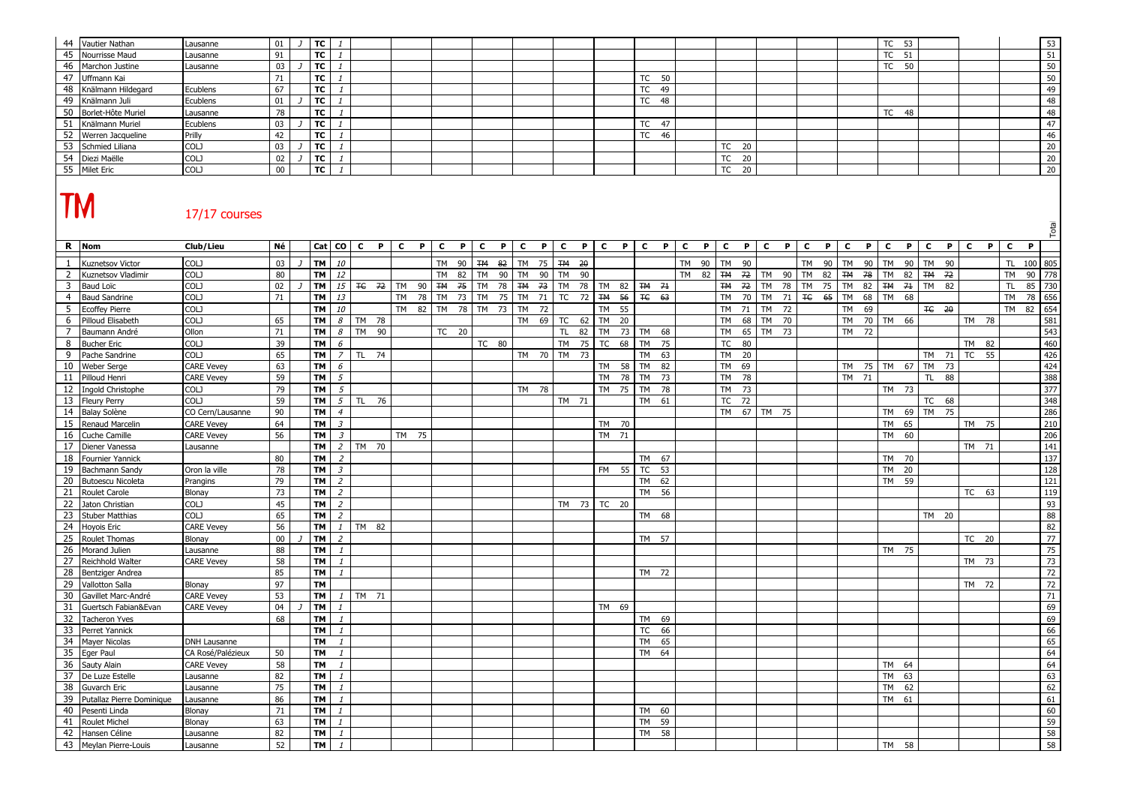| 44 Vautier Nathan     | Lausanne    | 01                         | TC        |  |  |  |                                          |          |  | TC 53 |  | 53              |
|-----------------------|-------------|----------------------------|-----------|--|--|--|------------------------------------------|----------|--|-------|--|-----------------|
| 45 Nourrisse Maud     | Lausanne    | 91                         | <b>TC</b> |  |  |  |                                          |          |  | TC 51 |  | 51              |
| 46 Marchon Justine    | Lausanne    | $\sim$<br>υJ               | TC        |  |  |  |                                          |          |  | TC 50 |  | 50              |
| 47 Uffmann Kai        |             | <u>ти</u>                  | TC I      |  |  |  | TC 50                                    |          |  |       |  | 50              |
| 48 Knälmann Hildegard | Ecublens    | 67                         | TC        |  |  |  | TC 49<br>$\tau$                          |          |  |       |  | 49              |
| 49 Knälmann Juli      | Ecublens    | 01                         | TC        |  |  |  | TC 48                                    |          |  |       |  | 48              |
| 50 Borlet-Hôte Muriel | Lausanne    | $70^{\circ}$<br>$\sqrt{2}$ | TC I      |  |  |  |                                          |          |  | TC 48 |  | 48              |
| 51 Knälmann Muriel    | Ecublens    | 03                         | TC        |  |  |  | $\tau$<br>TC 47                          |          |  |       |  | 47              |
| 52 Werren Jacqueline  | Prilly      |                            | <b>TC</b> |  |  |  | 46<br>$\tau$<br>$\overline{\phantom{a}}$ |          |  |       |  | 46              |
| 53 Schmied Liliana    | <b>COLJ</b> | 03                         | l TC      |  |  |  |                                          | TC<br>20 |  |       |  | 20 <sub>2</sub> |
| 54 Diezi Maëlle       | COLJ        | $\sim$<br>υz               | TC        |  |  |  |                                          | TC<br>20 |  |       |  | 20 <sup>1</sup> |
| 55 Milet Eric         | <b>COLJ</b> | 00                         | TC        |  |  |  |                                          | TC<br>20 |  |       |  | 20 <sub>1</sub> |
|                       |             |                            |           |  |  |  |                                          |          |  |       |  |                 |

# **TM** 17/17 courses

| I <b>I U V U</b>        |                                            | 17/17 Courses       |          |                        |                              |              |           |       |           |       |             |       |              |       |              |             |           |       |           |             |     |       |           |       |              |       |             |              |              |              |              |              |              |              |              |              |              |            | Total    |
|-------------------------|--------------------------------------------|---------------------|----------|------------------------|------------------------------|--------------|-----------|-------|-----------|-------|-------------|-------|--------------|-------|--------------|-------------|-----------|-------|-----------|-------------|-----|-------|-----------|-------|--------------|-------|-------------|--------------|--------------|--------------|--------------|--------------|--------------|--------------|--------------|--------------|--------------|------------|----------|
|                         | R Nom                                      | Club/Lieu           | Né       |                        | $Cat$ $CO$ $C$               |              | P C       |       | P C       |       | P C         | P I   | $\mathbf{c}$ | P     | $\mathbf{c}$ |             | P C       |       | P C       |             | P C | P     | C         | P     | $\mathbf{C}$ | P     | $\mathbf c$ | $\mathbf{P}$ | $\mathbf{c}$ | $\mathbf{P}$ | $\mathbf{c}$ | $\mathbf{P}$ | $\mathbf{c}$ | $\mathbf{P}$ | $\mathbf{c}$ | $\mathbf{P}$ | $\mathbf{c}$ | <b>P</b>   |          |
| $\overline{1}$          | <b>Kuznetsov Victor</b>                    | <b>COLJ</b>         | 03       | <b>TM</b>              | 10                           |              |           |       |           | TM 90 | <b>TM</b>   | 82    | <b>TM</b>    | 75    | <b>TM</b>    | - 20        |           |       |           |             |     | TM 90 | <b>TM</b> | 90    |              |       | <b>TM</b>   | 90           | <b>TM</b>    | 90           | <b>TM</b>    | 90           | TM 90        |              |              |              |              | TL 100 805 |          |
| 2                       | Kuznetsov Vladimir                         | <b>COLJ</b>         | 80       | TM                     | 12                           |              |           |       | <b>TM</b> | 82    | <b>TM</b>   | 90    | TM           | 90    | TM           | 90          |           |       |           |             |     | TM 82 | <b>TM</b> | - 72  | <b>TM</b>    | 90    | <b>TM</b>   | 82           | <b>TM</b>    | -78          | <b>TM</b>    | 82           | TM 72        |              |              |              | <b>TM</b>    | 90 778     |          |
| $\overline{\mathbf{3}}$ | <b>Baud Loïc</b>                           | <b>COLJ</b>         | 02       | TM                     |                              | $15$ TC $72$ | <b>TM</b> | 90    | <b>TM</b> | 75    | <b>TM</b>   | 78    | <b>TM</b>    | 73    | TM           |             | 78   TM   | 82    |           | TM 71       |     |       | <b>TM</b> | 72    | <b>TM</b>    | 78    | <b>TM</b>   | 75           | <b>TM</b>    | 82           | <b>TM</b>    | 71           | TM 82        |              |              |              | TL.          | 85 730     |          |
| $\overline{4}$          | <b>Baud Sandrine</b>                       | <b>COLJ</b>         | 71       | TM                     | 13                           |              | <b>TM</b> | 78    |           |       | TM 73 TM    | 75    | <b>TM</b>    | 71    | <b>TC</b>    | 72          |           | TM 56 |           | $TC$ 63     |     |       | <b>TM</b> | 70    |              | TM 71 | TC          | 65           | TM 68        |              | TM 68        |              |              |              |              |              | <b>TM</b>    | 78         | 656      |
| 5                       | <b>Ecoffey Pierre</b>                      | <b>COLJ</b>         |          | <b>TM</b>              | 10                           |              |           | TM 82 |           |       | TM 78 TM 73 |       |              | TM 72 |              |             |           | TM 55 |           |             |     |       |           | TM 71 | TM 72        |       |             |              | TM 69        |              |              |              | TC 20        |              |              |              |              | TM 82      | 654      |
| 6                       | Pilloud Elisabeth                          | <b>COLJ</b>         | 65       | TM                     |                              | 8 TM 78      |           |       |           |       |             |       | <b>TM</b>    | 69    | <b>TC</b>    |             | 62 TM     | 20    |           |             |     |       | <b>TM</b> | 68    | <b>TM</b>    | 70    |             |              |              | TM 70        | TM 66        |              |              |              | TM 78        |              |              |            | 581      |
| $\overline{7}$          | Baumann André                              | Ollon               | 71       | TM                     | 8                            | TM 90        |           |       |           | TC 20 |             |       |              |       | TL.          | 82          | <b>TM</b> | 73    | <b>TM</b> | 68          |     |       | <b>TM</b> | 65    | <b>TM</b>    | 73    |             |              | TM 72        |              |              |              |              |              |              |              |              |            | 543      |
| 8                       | <b>Bucher Eric</b>                         | <b>COLJ</b>         | 39       | <b>TM</b>              | 6                            |              |           |       |           |       |             | TC 80 |              |       | TM           | 75          | TC        | 68    | <b>TM</b> | 75          |     |       | TC        | 80    |              |       |             |              |              |              |              |              |              |              | TM 82        |              |              |            | 460      |
|                         | 9 Pache Sandrine                           | <b>COLJ</b>         | 65       | <b>TM</b>              |                              | 7 TL 74      |           |       |           |       |             |       |              | TM 70 | <b>TM</b>    | 73          |           |       | <b>TM</b> | 63          |     |       | <b>TM</b> | 20    |              |       |             |              |              |              |              |              | TM 71        |              | TC 55        |              |              |            | 426      |
|                         | 10 Weber Serge                             | <b>CARE Vevey</b>   | 63       | <b>TM</b>              | 6                            |              |           |       |           |       |             |       |              |       |              |             |           |       |           | TM 58 TM 82 |     |       |           | TM 69 |              |       |             |              |              | TM 75        | TM 67        |              | TM 73        |              |              |              |              |            | 424      |
|                         | 11 Pilloud Henri                           | <b>CARE Vevey</b>   | 59       | <b>TM</b>              | $\overline{5}$               |              |           |       |           |       |             |       |              |       |              |             | <b>TM</b> | 78    | <b>TM</b> | 73          |     |       | <b>TM</b> | 78    |              |       |             |              |              | TM 71        |              |              | TL.          | 88           |              |              |              |            | 388      |
|                         | 12 Ingold Christophe                       | <b>COLJ</b>         | 79       | <b>TM</b>              | 5                            |              |           |       |           |       |             |       |              | TM 78 |              |             | <b>TM</b> | 75    | <b>TM</b> | 78          |     |       | <b>TM</b> | 73    |              |       |             |              |              |              | TM 73        |              |              |              |              |              |              |            | 377      |
|                         | 13 Fleury Perry                            | <b>COLJ</b>         | 59       | <b>TM</b>              |                              | 5 TL 76      |           |       |           |       |             |       |              |       |              | TM 71       |           |       | <b>TM</b> | 61          |     |       | <b>TC</b> | 72    |              |       |             |              |              |              |              |              | TC 68        |              |              |              |              |            | 348      |
|                         | 14 Balay Solène                            | CO Cern/Lausanne    | 90       | TM                     | $\overline{4}$               |              |           |       |           |       |             |       |              |       |              |             |           |       |           |             |     |       |           |       | TM 67 TM 75  |       |             |              |              |              | TM 69        |              | TM 75        |              |              |              |              |            | 286      |
|                         | 15 Renaud Marcelin                         | <b>CARE Vevey</b>   | 64       | <b>TM</b>              | $\overline{3}$               |              |           |       |           |       |             |       |              |       |              |             |           | TM 70 |           |             |     |       |           |       |              |       |             |              |              |              | <b>TM</b>    | 65           |              |              | TM 75        |              |              |            | 210      |
|                         | 16 Cuche Camille                           | <b>CARE Vevey</b>   | 56       | <b>TM</b>              | $\mathfrak{Z}$               |              |           | TM 75 |           |       |             |       |              |       |              |             | <b>TM</b> | 71    |           |             |     |       |           |       |              |       |             |              |              |              | <b>TM</b>    | 60           |              |              |              |              |              |            | 206      |
|                         | 17 Diener Vanessa                          | Lausanne            |          | <b>TM</b>              |                              | 2 TM 70      |           |       |           |       |             |       |              |       |              |             |           |       |           |             |     |       |           |       |              |       |             |              |              |              |              |              |              |              | TM 71        |              |              |            | 141      |
|                         | 18 Fournier Yannick                        |                     | 80       | <b>TM</b>              | $\overline{2}$               |              |           |       |           |       |             |       |              |       |              |             |           |       |           | TM 67       |     |       |           |       |              |       |             |              |              |              | TM 70        |              |              |              |              |              |              |            | 137      |
|                         | 19 Bachmann Sandy                          | Oron la ville       | 78       | <b>TM</b>              | $\overline{3}$               |              |           |       |           |       |             |       |              |       |              |             |           | FM 55 | <b>TC</b> | 53          |     |       |           |       |              |       |             |              |              |              | TM 20        |              |              |              |              |              |              |            | 128      |
|                         | 20 Butoescu Nicoleta                       | Prangins            | 79       | <b>TM</b>              | $\overline{2}$               |              |           |       |           |       |             |       |              |       |              |             |           |       | <b>TM</b> | 62          |     |       |           |       |              |       |             |              |              |              | TM 59        |              |              |              |              |              |              |            | 121      |
|                         | 21 Roulet Carole                           | Blonay              | 73       | <b>TM</b>              | $\overline{2}$               |              |           |       |           |       |             |       |              |       |              |             |           |       | <b>TM</b> | 56          |     |       |           |       |              |       |             |              |              |              |              |              |              |              | TC 63        |              |              |            | 119      |
| $\overline{22}$         | Jaton Christian                            | <b>COLJ</b>         | 45       | TM                     | $\overline{2}$               |              |           |       |           |       |             |       |              |       |              | TM 73 TC 20 |           |       |           |             |     |       |           |       |              |       |             |              |              |              |              |              |              |              |              |              |              |            | 93       |
|                         | 23 Stuber Matthias                         | <b>COLJ</b>         | 65       | <b>TM</b>              | $\overline{2}$               |              |           |       |           |       |             |       |              |       |              |             |           |       |           | TM 68       |     |       |           |       |              |       |             |              |              |              |              |              | TM 20        |              |              |              |              |            | 88       |
|                         | 24 Hoyois Eric                             | <b>CARE Vevey</b>   | 56       | <b>TM</b>              |                              | $1$ TM 82    |           |       |           |       |             |       |              |       |              |             |           |       |           |             |     |       |           |       |              |       |             |              |              |              |              |              |              |              |              |              |              |            | 82       |
|                         | 25 Roulet Thomas                           | Blonay              | $00\,$   | <b>TM</b>              | $\overline{2}$               |              |           |       |           |       |             |       |              |       |              |             |           |       |           | TM 57       |     |       |           |       |              |       |             |              |              |              |              |              |              |              | TC 20        |              |              |            | 77       |
|                         | 26 Morand Julien                           | Lausanne            | 88       | <b>TM</b>              | $\mathbf{1}$                 |              |           |       |           |       |             |       |              |       |              |             |           |       |           |             |     |       |           |       |              |       |             |              |              |              | TM 75        |              |              |              |              |              |              |            | 75       |
| 27                      | Reichhold Walter                           | <b>CARE Vevev</b>   | 58       | TM                     | $\mathbf{1}$                 |              |           |       |           |       |             |       |              |       |              |             |           |       |           |             |     |       |           |       |              |       |             |              |              |              |              |              |              |              | TM 73        |              |              |            | 73       |
|                         | 28 Bentziger Andrea                        |                     | 85       | <b>TM</b>              | $\mathbf{1}$                 |              |           |       |           |       |             |       |              |       |              |             |           |       |           | TM 72       |     |       |           |       |              |       |             |              |              |              |              |              |              |              |              |              |              |            | 72       |
|                         | 29 Vallotton Salla                         | Blonav              | 97       | <b>TM</b>              |                              |              |           |       |           |       |             |       |              |       |              |             |           |       |           |             |     |       |           |       |              |       |             |              |              |              |              |              |              |              | TM 72        |              |              |            | 72       |
| 30                      | Gavillet Marc-André                        | <b>CARE Vevey</b>   | 53       | <b>TM</b>              |                              | 1 TM 71      |           |       |           |       |             |       |              |       |              |             |           |       |           |             |     |       |           |       |              |       |             |              |              |              |              |              |              |              |              |              |              |            | 71       |
|                         | 31 Guertsch Fabian&Evan                    | <b>CARE Vevey</b>   | 04       | <b>TM</b>              | $\mathbf{1}$                 |              |           |       |           |       |             |       |              |       |              |             | <b>TM</b> | 69    |           |             |     |       |           |       |              |       |             |              |              |              |              |              |              |              |              |              |              |            | 69       |
|                         | 32 Tacheron Yves                           |                     | 68       | <b>TM</b>              | $\mathbf{1}$                 |              |           |       |           |       |             |       |              |       |              |             |           |       |           | TM 69       |     |       |           |       |              |       |             |              |              |              |              |              |              |              |              |              |              |            | 69       |
|                         | 33 Perret Yannick                          |                     |          | <b>TM</b>              | $\mathbf{1}$                 |              |           |       |           |       |             |       |              |       |              |             |           |       | <b>TC</b> | 66          |     |       |           |       |              |       |             |              |              |              |              |              |              |              |              |              |              |            | 66       |
|                         | 34 Mayer Nicolas                           | <b>DNH Lausanne</b> |          | <b>TM</b>              | $\mathbf{1}$                 |              |           |       |           |       |             |       |              |       |              |             |           |       | <b>TM</b> | 65          |     |       |           |       |              |       |             |              |              |              |              |              |              |              |              |              |              |            | 65       |
|                         | 35 Eger Paul                               | CA Rosé/Palézieux   | 50       | <b>TM</b>              | $\mathbf{1}$<br>$\mathbf{1}$ |              |           |       |           |       |             |       |              |       |              |             |           |       |           | TM 64       |     |       |           |       |              |       |             |              |              |              |              |              |              |              |              |              |              |            | 64       |
|                         | 36 Sauty Alain                             | <b>CARE Vevey</b>   | 58       | <b>TM</b>              |                              |              |           |       |           |       |             |       |              |       |              |             |           |       |           |             |     |       |           |       |              |       |             |              |              |              | TM 64        |              |              |              |              |              |              |            | 64       |
|                         | 37 De Luze Estelle                         | Lausanne            | 82       | <b>TM</b><br><b>TM</b> | $\mathbf{1}$<br>$\mathbf{1}$ |              |           |       |           |       |             |       |              |       |              |             |           |       |           |             |     |       |           |       |              |       |             |              |              |              | TM 63        |              |              |              |              |              |              |            | 63<br>62 |
|                         | 38 Guvarch Eric                            | Lausanne            | 75       |                        |                              |              |           |       |           |       |             |       |              |       |              |             |           |       |           |             |     |       |           |       |              |       |             |              |              |              | <b>TM</b>    | 62           |              |              |              |              |              |            |          |
| 39<br>40                | Putallaz Pierre Dominique<br>Pesenti Linda | Lausanne<br>Blonay  | 86<br>71 | TM<br><b>TM</b>        | $\mathbf{1}$<br>$\mathbf{1}$ |              |           |       |           |       |             |       |              |       |              |             |           |       |           | TM 60       |     |       |           |       |              |       |             |              |              |              | TM 61        |              |              |              |              |              |              |            | 61<br>60 |
|                         | 41 Roulet Michel                           |                     | 63       | <b>TM</b>              | $\mathbf{1}$                 |              |           |       |           |       |             |       |              |       |              |             |           |       | TM        | 59          |     |       |           |       |              |       |             |              |              |              |              |              |              |              |              |              |              |            | 59       |
|                         | 42 Hansen Céline                           | Blonay<br>Lausanne  | 82       | <b>TM</b>              | $\mathbf{1}$                 |              |           |       |           |       |             |       |              |       |              |             |           |       | <b>TM</b> | 58          |     |       |           |       |              |       |             |              |              |              |              |              |              |              |              |              |              |            | 58       |
|                         | 43 Meylan Pierre-Louis                     | Lausanne            | 52       | <b>TM</b>              | $\mathbf{1}$                 |              |           |       |           |       |             |       |              |       |              |             |           |       |           |             |     |       |           |       |              |       |             |              |              |              | TM 58        |              |              |              |              |              |              |            | 58       |
|                         |                                            |                     |          |                        |                              |              |           |       |           |       |             |       |              |       |              |             |           |       |           |             |     |       |           |       |              |       |             |              |              |              |              |              |              |              |              |              |              |            |          |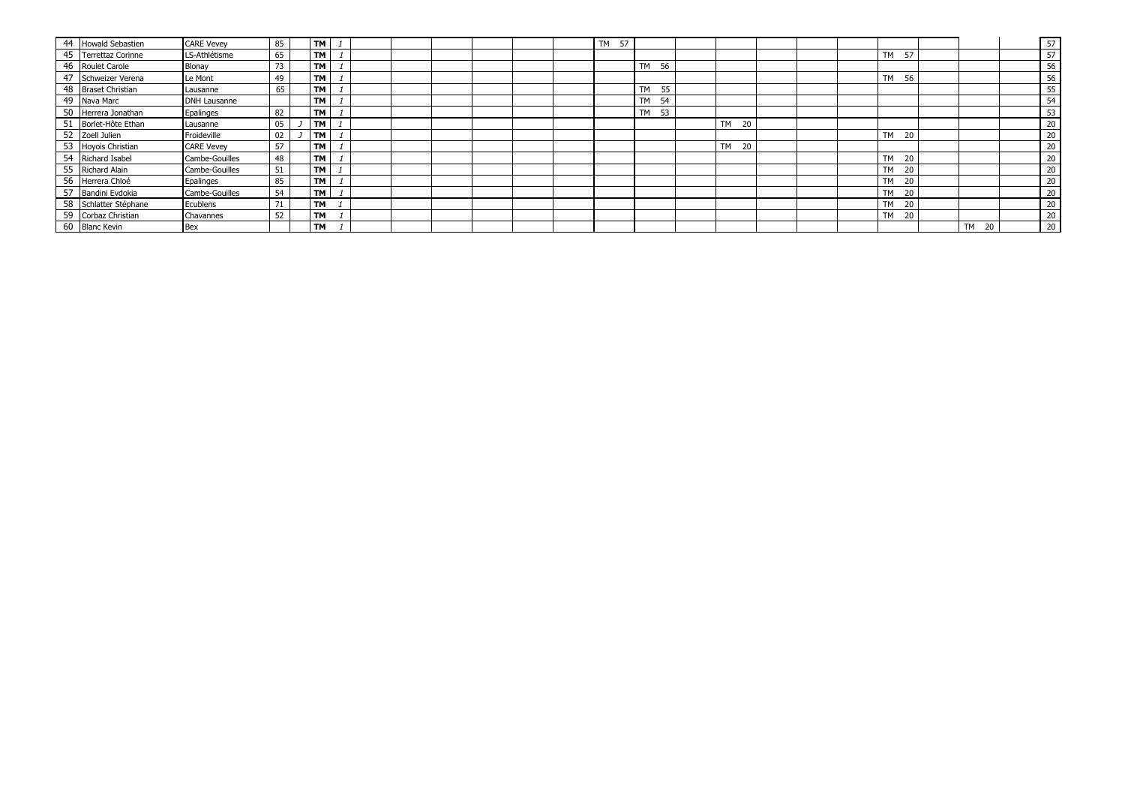| 44 Howald Sebastien   | <b>CARE Vevey</b>   | 85 | TM        |  |  |  | <b>TM</b><br>57 |                   |                   |  |                   |                  | 57 |
|-----------------------|---------------------|----|-----------|--|--|--|-----------------|-------------------|-------------------|--|-------------------|------------------|----|
| 45 Terrettaz Corinne  | LS-Athlétisme       | 65 | TΜ        |  |  |  |                 |                   |                   |  | 57<br><b>TM</b>   |                  | 57 |
| 46 Roulet Carole      | Blonay              | 73 | <b>TM</b> |  |  |  |                 | TM 56             |                   |  |                   |                  | 56 |
| 47 Schweizer Verena   | Le Mont             | 49 | <b>TM</b> |  |  |  |                 |                   |                   |  | 56<br>TM          |                  | 56 |
| 48 Braset Christian   | Lausanne            | 65 | <b>TM</b> |  |  |  |                 | 55<br><b>TM</b>   |                   |  |                   |                  | 55 |
| 49 Nava Marc          | <b>DNH Lausanne</b> |    | <b>TM</b> |  |  |  |                 | <b>TM</b><br>- 54 |                   |  |                   |                  | 54 |
| 50 Herrera Jonathan   | Epalinges           | 82 | <b>TM</b> |  |  |  |                 | 53<br><b>TM</b>   |                   |  |                   |                  | 53 |
| 51 Borlet-Hôte Ethan  | Lausanne            | 05 | <b>TM</b> |  |  |  |                 |                   | 20<br><b>TM</b>   |  |                   |                  | 20 |
| 52 Zoell Julien       | Froideville         | 02 | <b>TM</b> |  |  |  |                 |                   |                   |  | <b>TM</b><br>- 20 |                  | 20 |
| 53 Hoyois Christian   | <b>CARE Vevey</b>   | 57 | TΜ        |  |  |  |                 |                   | <b>TM</b><br>- 20 |  |                   |                  | 20 |
| 54 Richard Isabel     | Cambe-Gouilles      | 48 | <b>TM</b> |  |  |  |                 |                   |                   |  | 20<br><b>TM</b>   |                  | 20 |
| 55 Richard Alain      | Cambe-Gouilles      | 51 | <b>TM</b> |  |  |  |                 |                   |                   |  | 20<br>TM          |                  | 20 |
| 56 Herrera Chloé      | Epalinges           | 85 | TM        |  |  |  |                 |                   |                   |  | 20<br>TМ          |                  | 20 |
| 57 Bandini Evdokia    | Cambe-Gouilles      | 54 | <b>TM</b> |  |  |  |                 |                   |                   |  | 20<br>TM          |                  | 20 |
| 58 Schlatter Stéphane | Ecublens            | 71 | <b>TM</b> |  |  |  |                 |                   |                   |  | 20<br><b>TM</b>   |                  | 20 |
| 59 Corbaz Christian   | Chavannes           | 52 | <b>TM</b> |  |  |  |                 |                   |                   |  | 20<br><b>TM</b>   |                  | 20 |
| 60 Blanc Kevin        | Bex                 |    | <b>TM</b> |  |  |  |                 |                   |                   |  |                   | <b>TM</b><br>-20 | 20 |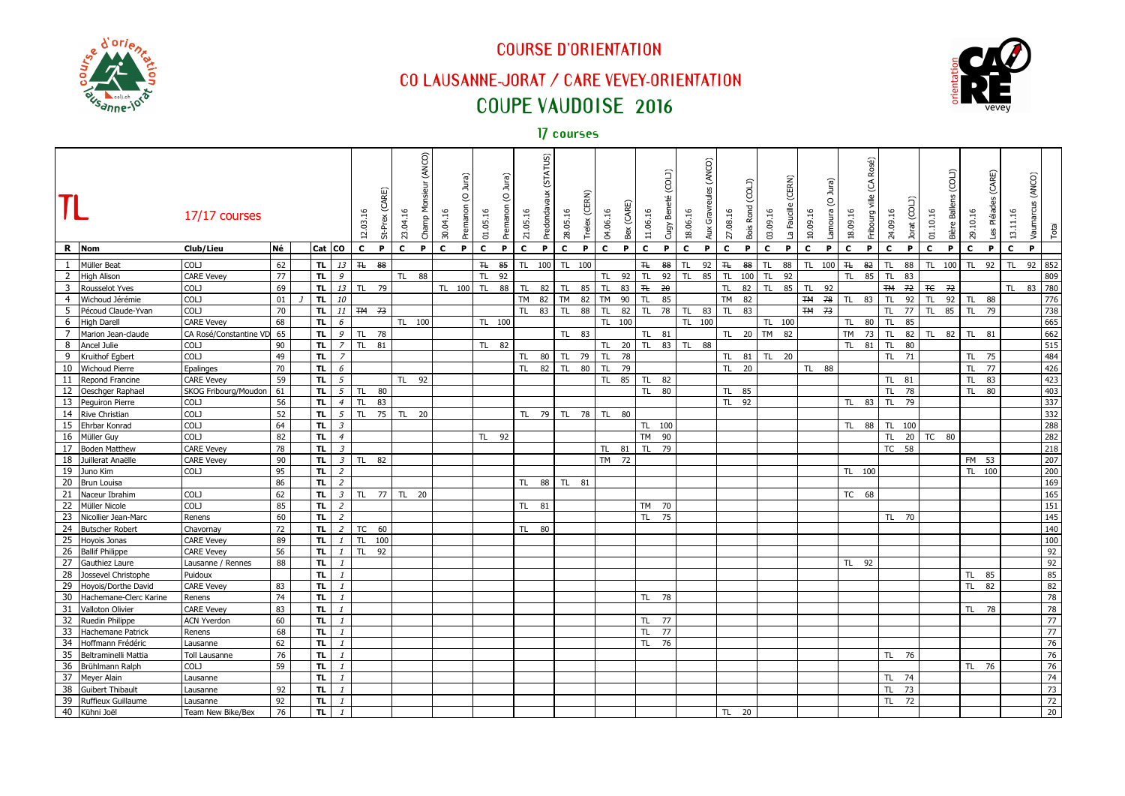

#### **CO LAUSANNE-JORAT / CARE VEVEY-ORIENTATION**



# **COUPE VAUDOISE 2016**

**17 courses**

|                       |                                             | 17/17 courses                           |          |                                |                              | 12.03.16  | St-Prex (CARE) | 23.04.16 | (ANCO)<br>Champ Mons | Jura)<br>$\circ$<br>Premanon<br>30.04.16 | 01.05.16     | Jura)<br>$\overline{S}$<br>Premanon | 21.05.16  | (STATUS)<br>Predondavaux | 28.05.16  | Trelex (CERN) | 04.06.16  | Bex (CARE) | 11.06.16     | (COLJ)<br>Cugy Beneté | 18.06.16 | Aux Gravreules (ANCO) | 27.08.16     | (COLJ)<br><b>Bois Rond</b> | 03.09.16          | (CERN)<br>La Faucille<br>10.09.16 | (DJura)<br>Lamoura | 18.09.16  | Rosé)<br>$\mathfrak{C}$<br>⊯<br>⊽<br>Fribourg | 24.09.16  | Jorat (COL) | 01.10.16 | (100)<br>Bière Balle | 29.10.16 | (CARE)<br>Les Pléiade | 13.11.16     | Vaumarcus (ANCO)<br>Total |
|-----------------------|---------------------------------------------|-----------------------------------------|----------|--------------------------------|------------------------------|-----------|----------------|----------|----------------------|------------------------------------------|--------------|-------------------------------------|-----------|--------------------------|-----------|---------------|-----------|------------|--------------|-----------------------|----------|-----------------------|--------------|----------------------------|-------------------|-----------------------------------|--------------------|-----------|-----------------------------------------------|-----------|-------------|----------|----------------------|----------|-----------------------|--------------|---------------------------|
|                       | R Nom                                       | Club/Lieu                               | Né       | $Cat$ $CO$                     |                              | c         | P.             | c        | P                    | $\mathbf{c}$<br>P                        | c            | P                                   | C         | P                        | C         | P             | C         | P          | $\mathbf{c}$ | P                     | C        | P                     | $\mathbf{c}$ | P                          | $\mathbf{c}$<br>P | C                                 | P                  | c         | P                                             | c         | P           | c        | P                    | C.       | P                     | $\mathbf{C}$ | P                         |
| 1                     | Müller Beat                                 | COLJ                                    | 62       | TL.                            | 13                           | H         | 88             |          |                      |                                          | $\mathbf{H}$ | 85                                  | TL.       | 100                      | TL.       | 100           |           |            | $H_{\rm c}$  | 88                    | TL       | 92                    | H            | 88                         | 88<br>TL          | TL.                               | 100                | H         | 82                                            | TL.       | 88          | TL.      | 100                  | TL.      | 92                    | TL.          | 92<br>852                 |
| $\overline{2}$        | <b>High Alison</b>                          | <b>CARE Vevey</b>                       | 77       | TL.                            | 9                            |           |                | TL       | 88                   |                                          | <b>TL</b>    | 92                                  |           |                          |           |               | TL.       | 92         | <b>TL</b>    | 92                    | TL.      | 85                    | TL.          | 100                        | 92<br>TL.         |                                   |                    | <b>TL</b> | 85                                            | <b>TL</b> | 83          |          |                      |          |                       |              | 809                       |
| $\overline{3}$        | Rousselot Yves                              | COLJ                                    | 69       | $\overline{\mathbf{r}}$        | 13                           | TL.       | 79             |          |                      | TL 100                                   | <b>TL</b>    | 88                                  | <b>TL</b> | 82                       | TL.       | 85            | TL.       | 83         | $\mathbf{H}$ | $\overline{20}$       |          |                       | <b>TL</b>    | 82                         | 85<br>TL.         | TL.                               | 92                 |           |                                               | $TM$ 72   |             | $TE$ 72  |                      |          |                       | TL.          | 780<br>83                 |
| $\overline{4}$        | Wichoud Jérémie                             | COLJ                                    | 01       | TL.                            | 10                           |           |                |          |                      |                                          |              |                                     | <b>TM</b> | 82                       | <b>TM</b> | 82            | <b>TM</b> | 90         | <b>TL</b>    | 85                    |          |                       | TM           | 82                         |                   |                                   | <b>TM 78</b>       | TL.       | 83                                            | TL        | 92          | TL.      | 92                   | TL.      | 88                    |              | 776                       |
| 5                     | Pécoud Claude-Yvan                          | COLJ                                    | 70       | TL.                            | 11                           | TM 73     |                |          |                      |                                          |              |                                     | TL.       | 83                       | TL.       | 88            | <b>TL</b> | 82         | TL.          | 78                    | TL.      | 83                    | TL           | 83                         |                   |                                   | <b>TM 73</b>       |           |                                               | TL.       | 77          | TL.      | 85                   | TL.      | 79                    |              | 738                       |
| 6                     | <b>High Darell</b>                          | <b>CARE Vevey</b>                       | 68       | TL.                            | 6                            |           |                | TL 100   |                      |                                          |              | TL 100                              |           |                          |           |               | TL 100    |            |              |                       |          | TL 100                |              |                            | TL 100            |                                   |                    | <b>TL</b> | 80                                            | <b>TL</b> | 85          |          |                      |          |                       |              | 665                       |
| $\overline{7}$        | Marion Jean-claude                          | CA Rosé/Constantine VD                  | 65       | TL.                            | 9                            | TL        | 78             |          |                      |                                          |              |                                     |           |                          | TL.       | 83            |           |            | TL.          | 81                    |          |                       | TL 20        |                            | <b>TM</b><br>82   |                                   |                    | TM        | 73                                            | <b>TL</b> | 82          | TL.      | 82                   | TL.      | 81                    |              | 662                       |
| 8                     | Ancel Julie                                 | COLJ                                    | 90       | TL.                            | $\overline{z}$               | <b>TL</b> | 81             |          |                      |                                          |              | TL 82                               |           |                          |           |               | TL.       | 20         | TL.          | 83                    | TL.      | 88                    |              |                            |                   |                                   |                    | <b>TL</b> | 81                                            | <b>TL</b> | 80          |          |                      |          |                       |              | 515                       |
| 9                     | Kruithof Egbert                             | COLJ                                    | 49       | <b>TL</b>                      | $\overline{z}$               |           |                |          |                      |                                          |              |                                     | TL        | 80                       | TL.       | 79            | TL.       | 78         |              |                       |          |                       | TL 81        |                            | 20<br>TL.         |                                   |                    |           |                                               | TL.       | 71          |          |                      | TL 75    |                       |              | 484                       |
| 10                    | <b>Wichoud Pierre</b>                       | Epalinges                               | 70       | TL.                            | 6                            |           |                |          |                      |                                          |              |                                     | TL.       | 82                       | TL.       | 80            | TL.       | 79         |              |                       |          |                       | TL.          | 20                         |                   |                                   | TL 88              |           |                                               |           |             |          |                      | TL 77    |                       |              | 426                       |
| 11                    | Repond Francine                             | <b>CARE Vevey</b>                       | 59       | TL.                            | 5                            |           |                | TL 92    |                      |                                          |              |                                     |           |                          |           |               | TL 85     |            | TL.          | 82                    |          |                       |              |                            |                   |                                   |                    |           |                                               | TL 81     |             |          |                      | TL.      | 83                    |              | 423                       |
| 12                    | Oeschger Raphael                            | SKOG Fribourg/Moudon                    | 61       | TL.                            | $5\overline{)}$              | <b>TL</b> | 80             |          |                      |                                          |              |                                     |           |                          |           |               |           |            | TL.          | 80                    |          |                       | TL.          | 85                         |                   |                                   |                    |           |                                               | <b>TL</b> | 78          |          |                      | TL.      | 80                    |              | 403                       |
| 13                    | <b>Pequiron Pierre</b>                      | COLJ                                    | 56       | TL.                            | $\overline{4}$               | <b>TL</b> | 83             |          |                      |                                          |              |                                     |           |                          |           |               |           |            |              |                       |          |                       | TL 92        |                            |                   |                                   |                    | TL.       | 83                                            | TL.       | 79          |          |                      |          |                       |              | 337                       |
|                       | 14 Rive Christian                           | COLJ                                    | 52       | TL.                            | 5 <sup>5</sup>               | TL        | 75             | TL.      | 20                   |                                          |              |                                     | TL 79     |                          | <b>TL</b> | 78            | TL.       | 80         |              |                       |          |                       |              |                            |                   |                                   |                    |           |                                               |           |             |          |                      |          |                       |              | 332                       |
| 15                    | Ehrbar Konrad                               | COLJ                                    | 64       | TL.                            | $\overline{3}$               |           |                |          |                      |                                          |              |                                     |           |                          |           |               |           |            | TL 100       |                       |          |                       |              |                            |                   |                                   |                    | TL.       | 88                                            | TL.       | 100         |          |                      |          |                       |              | 288                       |
| 16                    | Müller Guy                                  | COLJ                                    | 82       | TL.                            | $\overline{4}$               |           |                |          |                      |                                          | TL           | 92                                  |           |                          |           |               |           |            | <b>TM</b>    | 90                    |          |                       |              |                            |                   |                                   |                    |           |                                               | TL.       | 20          | TC 80    |                      |          |                       |              | 282                       |
| 17                    | <b>Boden Matthew</b>                        | <b>CARE Vevey</b>                       | 78       | TL.                            | $\mathcal{Z}$                |           |                |          |                      |                                          |              |                                     |           |                          |           |               | TL 81     |            | TL.          | 79                    |          |                       |              |                            |                   |                                   |                    |           |                                               | TC 58     |             |          |                      |          |                       |              | 218                       |
| 18                    | Juillerat Anaëlle                           | <b>CARE Vevey</b>                       | 90       | TL.                            |                              | $3$ TL    | 82             |          |                      |                                          |              |                                     |           |                          |           |               | TM 72     |            |              |                       |          |                       |              |                            |                   |                                   |                    |           |                                               |           |             |          |                      | FM 53    |                       |              | 207                       |
| 19                    | Juno Kim                                    | COLJ                                    | 95       | <b>TL</b>                      | $\overline{2}$               |           |                |          |                      |                                          |              |                                     |           |                          |           |               |           |            |              |                       |          |                       |              |                            |                   |                                   |                    |           | TL 100                                        |           |             |          |                      | TL 100   |                       |              | 200                       |
| 20                    | Brun Louisa                                 |                                         | 86       | TL.                            | $\overline{2}$               |           |                |          |                      |                                          |              |                                     | TL.       | 88                       | TL.       | 81            |           |            |              |                       |          |                       |              |                            |                   |                                   |                    |           |                                               |           |             |          |                      |          |                       |              | 169                       |
| 21                    | Naceur Ibrahim                              | COLJ                                    | 62       | <b>TL</b>                      | $\mathcal{Z}$                | <b>TL</b> | 77             | TL 20    |                      |                                          |              |                                     |           |                          |           |               |           |            |              |                       |          |                       |              |                            |                   |                                   |                    |           | TC 68                                         |           |             |          |                      |          |                       |              | 165                       |
| 22                    | Müller Nicole                               | COLJ                                    | 85       | TL.                            | $\overline{2}$               |           |                |          |                      |                                          |              |                                     | <b>TL</b> | 81                       |           |               |           |            | TM 70        |                       |          |                       |              |                            |                   |                                   |                    |           |                                               |           |             |          |                      |          |                       |              | 151                       |
| 23                    | Nicollier Jean-Marc                         | Renens                                  | 60       | TL.                            | $\overline{z}$               |           |                |          |                      |                                          |              |                                     |           |                          |           |               |           |            | TL.          | 75                    |          |                       |              |                            |                   |                                   |                    |           |                                               | TL 70     |             |          |                      |          |                       |              | 145                       |
| 24                    | <b>Butscher Robert</b>                      | Chavornay                               | 72       | TL.                            | $\overline{2}$               | TC        | 60             |          |                      |                                          |              |                                     | TL.       | 80                       |           |               |           |            |              |                       |          |                       |              |                            |                   |                                   |                    |           |                                               |           |             |          |                      |          |                       |              | 140                       |
| 25                    | Hoyois Jonas                                | <b>CARE Vevey</b>                       | 89       | TL.                            | $\mathbf{1}$                 | <b>TL</b> | 100            |          |                      |                                          |              |                                     |           |                          |           |               |           |            |              |                       |          |                       |              |                            |                   |                                   |                    |           |                                               |           |             |          |                      |          |                       |              | 100                       |
| 26                    | <b>Ballif Philippe</b>                      | <b>CARE Vevey</b>                       | 56       | TL.                            | $\mathbf{1}$                 | TL        | 92             |          |                      |                                          |              |                                     |           |                          |           |               |           |            |              |                       |          |                       |              |                            |                   |                                   |                    |           |                                               |           |             |          |                      |          |                       |              | 92                        |
| 27<br>$\overline{28}$ | Gauthiez Laure                              | Lausanne / Rennes<br>Puidoux            | 88       | TL.<br>$\overline{\mathsf{L}}$ | $\mathbf{1}$<br>$\mathbf{1}$ |           |                |          |                      |                                          |              |                                     |           |                          |           |               |           |            |              |                       |          |                       |              |                            |                   |                                   |                    | TL.       | 92                                            |           |             |          |                      |          | 85                    |              | 92<br>85                  |
| $\overline{29}$       | Jossevel Christophe                         |                                         |          | $\overline{\mathbf{r}}$        |                              |           |                |          |                      |                                          |              |                                     |           |                          |           |               |           |            |              |                       |          |                       |              |                            |                   |                                   |                    |           |                                               |           |             |          |                      | TL.      |                       |              |                           |
|                       | Hovois/Dorthe David                         | <b>CARE Vevey</b>                       | 83       | <b>TL</b>                      | $\mathbf{1}$                 |           |                |          |                      |                                          |              |                                     |           |                          |           |               |           |            |              |                       |          |                       |              |                            |                   |                                   |                    |           |                                               |           |             |          |                      | TL.      | 82                    |              | 82<br>78                  |
| 30<br>31              | Hachemane-Clerc Karine                      | Renens                                  | 74<br>83 | <b>TL</b>                      | $\mathbf{1}$<br>$\mathbf{1}$ |           |                |          |                      |                                          |              |                                     |           |                          |           |               |           |            | TL.          | 78                    |          |                       |              |                            |                   |                                   |                    |           |                                               |           |             |          |                      |          |                       |              | 78                        |
| 32                    | Valloton Olivier                            | <b>CARE Vevey</b><br><b>ACN Yverdon</b> | 60       | TL.                            | $\mathbf{1}$                 |           |                |          |                      |                                          |              |                                     |           |                          |           |               |           |            | TL.          | 77                    |          |                       |              |                            |                   |                                   |                    |           |                                               |           |             |          |                      | TL 78    |                       |              | 77                        |
| $\overline{33}$       | Ruedin Philippe<br><b>Hachemane Patrick</b> | Renens                                  | 68       | <b>TL</b>                      | $\mathbf{1}$                 |           |                |          |                      |                                          |              |                                     |           |                          |           |               |           |            | TL.          | 77                    |          |                       |              |                            |                   |                                   |                    |           |                                               |           |             |          |                      |          |                       |              | 77                        |
| 34                    | Hoffmann Frédéric                           | Lausanne                                | 62       | TL.                            | $\mathbf{1}$                 |           |                |          |                      |                                          |              |                                     |           |                          |           |               |           |            | TL.          | 76                    |          |                       |              |                            |                   |                                   |                    |           |                                               |           |             |          |                      |          |                       |              | 76                        |
| 35                    | Beltraminelli Mattia                        | <b>Toll Lausanne</b>                    | 76       | <b>TL</b>                      | $\mathbf{1}$                 |           |                |          |                      |                                          |              |                                     |           |                          |           |               |           |            |              |                       |          |                       |              |                            |                   |                                   |                    |           |                                               | TL.       | 76          |          |                      |          |                       |              | 76                        |
| 36                    | Brühlmann Ralph                             | COLJ                                    | 59       | TL.                            | $\mathbf{1}$                 |           |                |          |                      |                                          |              |                                     |           |                          |           |               |           |            |              |                       |          |                       |              |                            |                   |                                   |                    |           |                                               |           |             |          |                      | TL 76    |                       |              | 76                        |
| 37                    | Meyer Alain                                 | Lausanne                                |          | <b>TL</b>                      | $\mathbf{1}$                 |           |                |          |                      |                                          |              |                                     |           |                          |           |               |           |            |              |                       |          |                       |              |                            |                   |                                   |                    |           |                                               | TL 74     |             |          |                      |          |                       |              | 74                        |
| 38                    | <b>Guibert Thibault</b>                     | Lausanne                                | 92       | TL.                            | $\mathbf{1}$                 |           |                |          |                      |                                          |              |                                     |           |                          |           |               |           |            |              |                       |          |                       |              |                            |                   |                                   |                    |           |                                               | TL.       | 73          |          |                      |          |                       |              | 73                        |
| 39                    | <b>Ruffieux Guillaume</b>                   | Lausanne                                | 92       | <b>TL</b>                      | $\mathbf{1}$                 |           |                |          |                      |                                          |              |                                     |           |                          |           |               |           |            |              |                       |          |                       |              |                            |                   |                                   |                    |           |                                               | TL.       | 72          |          |                      |          |                       |              | 72                        |
| 40                    | Kühni Joël                                  | Team New Bike/Bex                       | 76       | TL.                            | $\mathbf{1}$                 |           |                |          |                      |                                          |              |                                     |           |                          |           |               |           |            |              |                       |          |                       | TL.          | 20                         |                   |                                   |                    |           |                                               |           |             |          |                      |          |                       |              | 20                        |
|                       |                                             |                                         |          |                                |                              |           |                |          |                      |                                          |              |                                     |           |                          |           |               |           |            |              |                       |          |                       |              |                            |                   |                                   |                    |           |                                               |           |             |          |                      |          |                       |              |                           |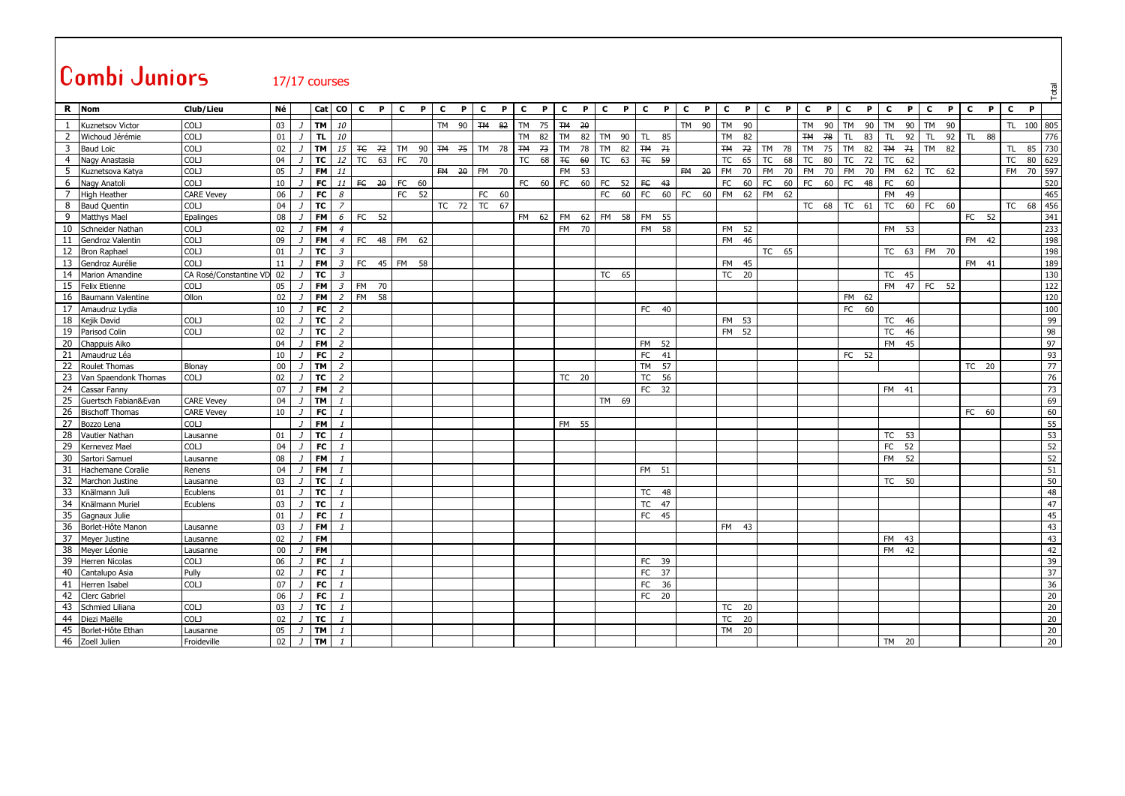# **Combi Juniors** 17/17 courses

|                | <b>CUTTUL JUILUIS</b>                  |                            |                 |                |           | 17/17 courses            |        |                 |                       |                                                    |              |                         |       |       |       |           |                                                                                                                                                                                                                                                                                                                                                                                                  |          |             |    |                                                                                                                                                                                     |    |              |    |           |         |              |       |              |    |              |              |              |           | Total    |
|----------------|----------------------------------------|----------------------------|-----------------|----------------|-----------|--------------------------|--------|-----------------|-----------------------|----------------------------------------------------|--------------|-------------------------|-------|-------|-------|-----------|--------------------------------------------------------------------------------------------------------------------------------------------------------------------------------------------------------------------------------------------------------------------------------------------------------------------------------------------------------------------------------------------------|----------|-------------|----|-------------------------------------------------------------------------------------------------------------------------------------------------------------------------------------|----|--------------|----|-----------|---------|--------------|-------|--------------|----|--------------|--------------|--------------|-----------|----------|
|                | R Nom                                  | Club/Lieu                  | Né              |                |           |                          |        |                 |                       |                                                    |              |                         |       |       |       |           |                                                                                                                                                                                                                                                                                                                                                                                                  |          |             |    |                                                                                                                                                                                     |    |              |    |           | $C$ $P$ | $\mathbf{c}$ | P     | $\mathbf{c}$ | P  | $\mathbf{c}$ | $\mathbf{P}$ | $\mathbf{c}$ | P.        |          |
|                | 1 Kuznetsov Victor                     | <b>COLJ</b>                | 03              | $\overline{ }$ |           | <b>TM</b> 10             |        |                 |                       | $\overline{TM}$ 90                                 | <b>TM 82</b> | TM 75                   | HH    | -20   |       |           |                                                                                                                                                                                                                                                                                                                                                                                                  |          | TM 90 TM 90 |    |                                                                                                                                                                                     |    | <b>TM</b>    |    | 90 TM     |         | 90 TM        | 90    | <b>TM</b>    | 90 |              |              | TL 100       |           | 805      |
| 2              | Wichoud Jérémie                        | <b>COLJ</b>                | 01              | $\overline{1}$ | TL I      | 10                       |        |                 |                       |                                                    |              | TM 82                   |       |       |       |           | TM 82 TM 90 TL 85                                                                                                                                                                                                                                                                                                                                                                                |          | TM 82       |    |                                                                                                                                                                                     |    | <b>TM 78</b> |    | TL 83     |         |              | TL 92 | TL 92        |    | TL 88        |              |              |           | 776      |
| $\overline{3}$ | <b>Baud Loïc</b>                       | COLJ                       | 02              | $\overline{1}$ | TM        |                          |        |                 |                       | 15 FG 72 TM 90 FM 75 TM 78 FM 73 TM 78 TM 82 FM 71 |              |                         |       |       |       |           |                                                                                                                                                                                                                                                                                                                                                                                                  |          |             |    | $\frac{44}{100}$ $\frac{72}{100}$ $\frac{100}{78}$ $\frac{100}{100}$ $\frac{75}{100}$ $\frac{100}{7}$ $\frac{82}{100}$ $\frac{44}{7}$ $\frac{74}{7}$ $\frac{100}{7}$ $\frac{82}{7}$ |    |              |    |           |         |              |       |              |    |              |              |              | TL 85 730 |          |
|                | 4 Nagy Anastasia                       | COLJ                       | 04              |                | TC        | 12                       |        |                 | TC 63 FC 70           |                                                    |              | TC 68                   |       |       |       |           | $\overline{+}$ $\overline{+}$ $\overline{}$ $\overline{+}$ $\overline{}$ $\overline{}$ $\overline{}$ $\overline{}$ $\overline{}$ $\overline{}$ $\overline{}$ $\overline{}$ $\overline{}$ $\overline{}$ $\overline{}$ $\overline{}$ $\overline{}$ $\overline{}$ $\overline{}$ $\overline{}$ $\overline{}$ $\overline{}$ $\overline{}$ $\overline{}$ $\overline{}$ $\overline{}$ $\overline{}$ $\$ |          | <b>TC</b>   |    | 65 TC                                                                                                                                                                               | 68 | <b>TC</b>    | 80 |           | TC 72   | <b>TC</b>    | 62    |              |    |              |              | <b>TC</b>    | 80        | 629      |
|                | 5 Kuznetsova Katya                     | COLJ                       | 05              | $\overline{1}$ | FM        | 11                       |        |                 |                       | FM 20 FM 70                                        |              |                         |       | FM 53 |       |           |                                                                                                                                                                                                                                                                                                                                                                                                  | FM 20 FM |             |    | 70 FM 70 FM 70 FM 70 FM 62 TC 62                                                                                                                                                    |    |              |    |           |         |              |       |              |    |              |              | FM 70        |           | 597      |
| 6              | Nagy Anatoli                           | COLJ                       | 10              | $\overline{1}$ |           |                          |        |                 | FC $11$ FC $20$ FC 60 |                                                    |              | FC 60 FC 60 FC 52 FC 43 |       |       |       |           |                                                                                                                                                                                                                                                                                                                                                                                                  |          | FC          |    | 60 FC                                                                                                                                                                               | 60 | FC           | 60 | <b>FC</b> | 48      | FC           | 60    |              |    |              |              |              |           | 520      |
|                | 7 High Heather                         | <b>CARE Vevey</b>          | 06              | $\overline{1}$ | <b>FC</b> | 8                        |        |                 | FC 52                 |                                                    | FC 60        |                         |       |       |       |           |                                                                                                                                                                                                                                                                                                                                                                                                  |          |             |    | FC 60 FC 60 FC 60 FM 62 FM 62                                                                                                                                                       |    |              |    |           |         | <b>FM</b>    | 49    |              |    |              |              |              |           | 465      |
| 8              | <b>Baud Quentin</b>                    | <b>COLJ</b>                | 04              | $\overline{1}$ | <b>TC</b> | $\overline{7}$           |        |                 |                       | TC 72 TC 67                                        |              |                         |       |       |       |           |                                                                                                                                                                                                                                                                                                                                                                                                  |          |             |    |                                                                                                                                                                                     |    | TC 68 TC 61  |    |           |         |              |       | TC 60 FC 60  |    |              |              | TC 68        |           | 456      |
|                | 9 Matthys Mael                         | Epalinges                  | 08              | $\overline{1}$ | FM        |                          |        | 6 FC 52         |                       |                                                    |              | FM 62 FM 62 FM 58 FM 55 |       |       |       |           |                                                                                                                                                                                                                                                                                                                                                                                                  |          |             |    |                                                                                                                                                                                     |    |              |    |           |         |              |       |              |    | FC 52        |              |              |           | 341      |
|                | 10 Schneider Nathan                    | <b>COLJ</b>                | 02              | $\overline{1}$ | <b>FM</b> | $\overline{4}$           |        |                 |                       |                                                    |              |                         |       | FM 70 |       |           | FM 58                                                                                                                                                                                                                                                                                                                                                                                            |          | FM 52       |    |                                                                                                                                                                                     |    |              |    |           |         |              | FM 53 |              |    |              |              |              |           | 233      |
|                | 11 Gendroz Valentin                    | COLJ                       | 09              | $\overline{1}$ | <b>FM</b> |                          |        |                 | 4 FC 48 FM 62         |                                                    |              |                         |       |       |       |           |                                                                                                                                                                                                                                                                                                                                                                                                  |          | FM 46       |    |                                                                                                                                                                                     |    |              |    |           |         |              |       |              |    | FM 42        |              |              |           | 198      |
|                | 12 Bron Raphael                        | COLJ                       | 01              | $\overline{1}$ | <b>TC</b> | $\mathfrak{Z}$           |        |                 |                       |                                                    |              |                         |       |       |       |           |                                                                                                                                                                                                                                                                                                                                                                                                  |          |             |    | TC 65                                                                                                                                                                               |    |              |    |           |         |              |       | TC 63 FM 70  |    |              |              |              |           | 198      |
|                | 13 Gendroz Aurélie                     | COLJ                       | 11              | $\overline{1}$ | <b>FM</b> |                          |        |                 | 3 FC 45 FM 58         |                                                    |              |                         |       |       |       |           |                                                                                                                                                                                                                                                                                                                                                                                                  |          | FM 45       |    |                                                                                                                                                                                     |    |              |    |           |         |              |       |              |    | FM 41        |              |              |           | 189      |
|                | 14 Marion Amandine                     | CA Rosé/Constantine VD     | 02              | $\overline{1}$ | TC        | $\overline{3}$           |        |                 |                       |                                                    |              |                         |       |       | TC 65 |           |                                                                                                                                                                                                                                                                                                                                                                                                  |          | TC 20       |    |                                                                                                                                                                                     |    |              |    |           |         |              | TC 45 |              |    |              |              |              |           | 130      |
|                | 15 Felix Etienne                       | <b>COLJ</b>                | 05              | J              |           |                          |        | $F/M$ 3 $FM$ 70 |                       |                                                    |              |                         |       |       |       |           |                                                                                                                                                                                                                                                                                                                                                                                                  |          |             |    |                                                                                                                                                                                     |    |              |    |           |         |              |       | FM 47 FC 52  |    |              |              |              |           | 122      |
|                | 16 Baumann Valentine                   | Ollon                      | 02              | J              | <b>FM</b> |                          | $2$ FM | 58              |                       |                                                    |              |                         |       |       |       |           |                                                                                                                                                                                                                                                                                                                                                                                                  |          |             |    |                                                                                                                                                                                     |    |              |    | FM 62     |         |              |       |              |    |              |              |              |           | 120      |
|                | 17 Amaudruz Lydia                      |                            | 10              | J              | <b>FC</b> | $\overline{2}$           |        |                 |                       |                                                    |              |                         |       |       |       |           | FC 40                                                                                                                                                                                                                                                                                                                                                                                            |          |             |    |                                                                                                                                                                                     |    |              |    | FC 60     |         |              |       |              |    |              |              |              |           | 100      |
|                | 18 Keiik David                         | <b>COLJ</b>                | 02              | J              | TC I      | $\overline{c}$           |        |                 |                       |                                                    |              |                         |       |       |       |           |                                                                                                                                                                                                                                                                                                                                                                                                  |          | FM 53       |    |                                                                                                                                                                                     |    |              |    |           |         |              | TC 46 |              |    |              |              |              |           | 99       |
|                | 19 Parisod Colin                       | <b>COLJ</b>                | 02              | $\overline{1}$ | TC I      | $\overline{2}$           |        |                 |                       |                                                    |              |                         |       |       |       |           |                                                                                                                                                                                                                                                                                                                                                                                                  |          | FM 52       |    |                                                                                                                                                                                     |    |              |    |           |         | <b>TC</b>    | 46    |              |    |              |              |              |           | 98       |
|                | 20 Chappuis Aiko                       |                            | 04              | $\overline{1}$ | FM I      | $\overline{c}$           |        |                 |                       |                                                    |              |                         |       |       |       |           | FM 52                                                                                                                                                                                                                                                                                                                                                                                            |          |             |    |                                                                                                                                                                                     |    |              |    |           |         | <b>FM</b>    | 45    |              |    |              |              |              |           | 97       |
|                | 21 Amaudruz Léa                        |                            | 10              | $\overline{1}$ | <b>FC</b> | $\overline{2}$           |        |                 |                       |                                                    |              |                         |       |       |       | FC        | 41                                                                                                                                                                                                                                                                                                                                                                                               |          |             |    |                                                                                                                                                                                     |    |              |    | FC 52     |         |              |       |              |    |              |              |              |           | 93       |
|                | 22 Roulet Thomas                       | Blonav                     | 00              | $\overline{1}$ | <b>TM</b> | $\overline{c}$           |        |                 |                       |                                                    |              |                         |       |       |       | <b>TM</b> | 57                                                                                                                                                                                                                                                                                                                                                                                               |          |             |    |                                                                                                                                                                                     |    |              |    |           |         |              |       |              |    | TC 20        |              |              |           | 77       |
|                | 23 Van Spaendonk Thomas                | COLJ                       | 02              | $\overline{1}$ | <b>TC</b> | $\overline{2}$           |        |                 |                       |                                                    |              |                         | TC 20 |       |       | <b>TC</b> | 56                                                                                                                                                                                                                                                                                                                                                                                               |          |             |    |                                                                                                                                                                                     |    |              |    |           |         |              |       |              |    |              |              |              |           | 76       |
|                | 24 Cassar Fanny                        |                            | 07              | $\overline{1}$ | <b>FM</b> | $\overline{2}$           |        |                 |                       |                                                    |              |                         |       |       |       |           | FC 32                                                                                                                                                                                                                                                                                                                                                                                            |          |             |    |                                                                                                                                                                                     |    |              |    |           |         | FM 41        |       |              |    |              |              |              |           | 73       |
|                | 25 Guertsch Fabian&Evan                | <b>CARE Vevey</b>          | 04              | $\overline{1}$ | <b>TM</b> | $\mathbf{1}$             |        |                 |                       |                                                    |              |                         |       |       | TM 69 |           |                                                                                                                                                                                                                                                                                                                                                                                                  |          |             |    |                                                                                                                                                                                     |    |              |    |           |         |              |       |              |    |              |              |              |           | 69       |
|                | 26 Bischoff Thomas                     | <b>CARE Vevey</b>          | 10 <sup>1</sup> | J              | <b>FC</b> | $\mathbf{1}$             |        |                 |                       |                                                    |              |                         |       |       |       |           |                                                                                                                                                                                                                                                                                                                                                                                                  |          |             |    |                                                                                                                                                                                     |    |              |    |           |         |              |       |              |    | FC 60        |              |              |           | 60       |
|                | 27 Bozzo Lena                          | COLJ                       |                 | $\overline{1}$ | <b>FM</b> | $\mathbf{1}$             |        |                 |                       |                                                    |              |                         | FM 55 |       |       |           |                                                                                                                                                                                                                                                                                                                                                                                                  |          |             |    |                                                                                                                                                                                     |    |              |    |           |         |              |       |              |    |              |              |              |           | 55       |
|                | 28 Vautier Nathan                      | ausanne                    | 01              |                | TC        | $\mathbf{1}$             |        |                 |                       |                                                    |              |                         |       |       |       |           |                                                                                                                                                                                                                                                                                                                                                                                                  |          |             |    |                                                                                                                                                                                     |    |              |    |           |         |              | TC 53 |              |    |              |              |              |           | 53       |
|                | 29 Kernevez Mael                       | COLJ                       | 04              | $\overline{1}$ | FC        | $\mathbf{1}$             |        |                 |                       |                                                    |              |                         |       |       |       |           |                                                                                                                                                                                                                                                                                                                                                                                                  |          |             |    |                                                                                                                                                                                     |    |              |    |           |         |              | FC 52 |              |    |              |              |              |           | 52       |
| 30 l           | Sartori Samuel                         | Lausanne                   | 08              | $\overline{1}$ | <b>FM</b> | $\mathbf{1}$             |        |                 |                       |                                                    |              |                         |       |       |       |           |                                                                                                                                                                                                                                                                                                                                                                                                  |          |             |    |                                                                                                                                                                                     |    |              |    |           |         | <b>FM</b>    | 52    |              |    |              |              |              |           | 52       |
|                | 31 Hachemane Coralie                   | Renens                     | 04              | $\overline{1}$ | <b>TC</b> | $FM$ $1$<br>$\mathbf{1}$ |        |                 |                       |                                                    |              |                         |       |       |       |           | FM 51                                                                                                                                                                                                                                                                                                                                                                                            |          |             |    |                                                                                                                                                                                     |    |              |    |           |         |              |       |              |    |              |              |              |           | 51       |
|                | 32 Marchon Justine<br>33 Knälmann Juli | ausanne<br><b>Ecublens</b> | 03<br>01        | $\overline{1}$ | TC        | $\mathbf{1}$             |        |                 |                       |                                                    |              |                         |       |       |       |           | TC 48                                                                                                                                                                                                                                                                                                                                                                                            |          |             |    |                                                                                                                                                                                     |    |              |    |           |         |              | TC 50 |              |    |              |              |              |           | 50<br>48 |
|                | 34 Knälmann Muriel                     | Ecublens                   | 03              | J              | <b>TC</b> | $\mathbf{1}$             |        |                 |                       |                                                    |              |                         |       |       |       | <b>TC</b> | 47                                                                                                                                                                                                                                                                                                                                                                                               |          |             |    |                                                                                                                                                                                     |    |              |    |           |         |              |       |              |    |              |              |              |           | 47       |
|                | 35 Gagnaux Julie                       |                            | 01              | J              |           | $FC$ $1$                 |        |                 |                       |                                                    |              |                         |       |       |       |           | FC 45                                                                                                                                                                                                                                                                                                                                                                                            |          |             |    |                                                                                                                                                                                     |    |              |    |           |         |              |       |              |    |              |              |              |           | 45       |
|                | 36 Borlet-Hôte Manon                   | Lausanne                   | 03              | - 7            | <b>FM</b> | $\mathbf{1}$             |        |                 |                       |                                                    |              |                         |       |       |       |           |                                                                                                                                                                                                                                                                                                                                                                                                  |          | <b>FM</b>   | 43 |                                                                                                                                                                                     |    |              |    |           |         |              |       |              |    |              |              |              |           | 43       |
|                | 37 Meyer Justine                       | Lausanne                   | 02              | $\overline{1}$ | <b>FM</b> |                          |        |                 |                       |                                                    |              |                         |       |       |       |           |                                                                                                                                                                                                                                                                                                                                                                                                  |          |             |    |                                                                                                                                                                                     |    |              |    |           |         | FM 43        |       |              |    |              |              |              |           | 43       |
|                | 38 Meyer Léonie                        | ausanne                    | $00\,$          | $\overline{1}$ | <b>FM</b> |                          |        |                 |                       |                                                    |              |                         |       |       |       |           |                                                                                                                                                                                                                                                                                                                                                                                                  |          |             |    |                                                                                                                                                                                     |    |              |    |           |         | <b>FM</b>    | 42    |              |    |              |              |              |           | 42       |
|                | 39 Herren Nicolas                      | <b>COLJ</b>                | 06              | $\overline{1}$ |           | $FC$ $1$                 |        |                 |                       |                                                    |              |                         |       |       |       |           | FC 39                                                                                                                                                                                                                                                                                                                                                                                            |          |             |    |                                                                                                                                                                                     |    |              |    |           |         |              |       |              |    |              |              |              |           | 39       |
|                | 40 Cantalupo Asia                      | Pully                      | 02              | $\overline{1}$ | FC        | $\mathbf{1}$             |        |                 |                       |                                                    |              |                         |       |       |       | FC        | 37                                                                                                                                                                                                                                                                                                                                                                                               |          |             |    |                                                                                                                                                                                     |    |              |    |           |         |              |       |              |    |              |              |              |           | 37       |
|                | 41 Herren Isabel                       | <b>COLJ</b>                | 07              |                |           | $FC$ $1$                 |        |                 |                       |                                                    |              |                         |       |       |       | FC        | 36                                                                                                                                                                                                                                                                                                                                                                                               |          |             |    |                                                                                                                                                                                     |    |              |    |           |         |              |       |              |    |              |              |              |           | 36       |
|                | 42 Clerc Gabriel                       |                            | 06              | J              |           | $FC$ $1$                 |        |                 |                       |                                                    |              |                         |       |       |       |           | FC 20                                                                                                                                                                                                                                                                                                                                                                                            |          |             |    |                                                                                                                                                                                     |    |              |    |           |         |              |       |              |    |              |              |              |           | 20       |
|                | 43 Schmied Liliana                     | <b>COLJ</b>                | 03              |                | TC        | $\mathbf{1}$             |        |                 |                       |                                                    |              |                         |       |       |       |           |                                                                                                                                                                                                                                                                                                                                                                                                  |          | TC 20       |    |                                                                                                                                                                                     |    |              |    |           |         |              |       |              |    |              |              |              |           | 20       |
|                | 44 Diezi Maëlle                        | COLI                       | 02              |                | <b>TC</b> | $\mathbf{1}$             |        |                 |                       |                                                    |              |                         |       |       |       |           |                                                                                                                                                                                                                                                                                                                                                                                                  |          | <b>TC</b>   | 20 |                                                                                                                                                                                     |    |              |    |           |         |              |       |              |    |              |              |              |           | 20       |
|                | 45 Borlet-Hôte Ethan                   | Lausanne                   | 05              |                |           | $TM$ $1$                 |        |                 |                       |                                                    |              |                         |       |       |       |           |                                                                                                                                                                                                                                                                                                                                                                                                  |          | TM 20       |    |                                                                                                                                                                                     |    |              |    |           |         |              |       |              |    |              |              |              |           | 20       |
|                | 46 Zoell Julien                        | Froideville                | $02$ J          |                | <b>TM</b> | $\mathbf{1}$             |        |                 |                       |                                                    |              |                         |       |       |       |           |                                                                                                                                                                                                                                                                                                                                                                                                  |          |             |    |                                                                                                                                                                                     |    |              |    |           |         |              | TM 20 |              |    |              |              |              |           | 20       |
|                |                                        |                            |                 |                |           |                          |        |                 |                       |                                                    |              |                         |       |       |       |           |                                                                                                                                                                                                                                                                                                                                                                                                  |          |             |    |                                                                                                                                                                                     |    |              |    |           |         |              |       |              |    |              |              |              |           |          |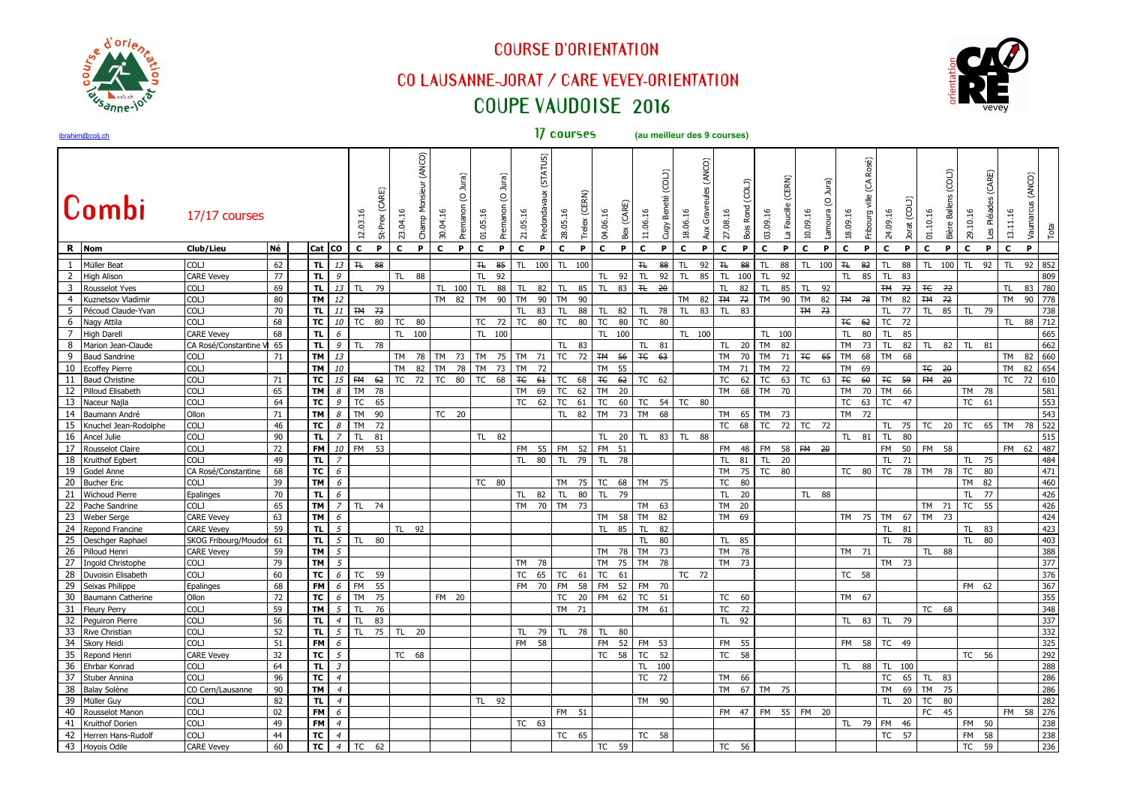

## **CO LAUSANNE-JORAT / CARE VEVEY-ORIENTATION**



## **COUPE VAUDOISE 2016**

ibrahim@colj.ch **17 courses (au meilleur des 9 courses)**

| Combi                                | 17/17 courses              |    |                          |                | 12.03.16  | (CARE)<br>St-Prex | (ANCO)<br>23.04.16<br>Champ | 30.04.16     | Jura)<br>$\circ$<br>Premanor | 01.05.16        | Jura)<br>$\circ$<br>Premanor<br>21.05.16 | ATUS)<br>-현<br><b>aba</b> | 28.05.16  | RN)<br>ଞ<br>Trelex | 04.06.16     | Bex (CARE) | 11.06.16      | (CDL)<br>Beneté<br>Cugy | 18.06.16  | (ANCO)<br>Aux Gravreules | 27.08.16       | (CDD)<br><b>Bois Rond</b> | 03.09.16  | (CERN)<br>La Faucille | 10.09.16     | Jura)<br>Q<br>Lamoura | 18.09.16     | Rosé)<br>CA<br>yille<br>Fribourg | 24.09.16           | ูร<br>Jorat (CO | 01.10.16     | (COL)<br>Bière Balle | 29.10.16  | (CARE)<br>හී<br>Pléiade<br>്ള | 13.11.16        | (ANCO)<br>Vaumarcus<br>Total |
|--------------------------------------|----------------------------|----|--------------------------|----------------|-----------|-------------------|-----------------------------|--------------|------------------------------|-----------------|------------------------------------------|---------------------------|-----------|--------------------|--------------|------------|---------------|-------------------------|-----------|--------------------------|----------------|---------------------------|-----------|-----------------------|--------------|-----------------------|--------------|----------------------------------|--------------------|-----------------|--------------|----------------------|-----------|-------------------------------|-----------------|------------------------------|
| R Nom                                | Club/Lieu                  | Νé |                          | Cat CO         | c         | P.                | c<br>P                      | $\mathbf{c}$ | P                            | C<br>P          | C                                        | P                         | c         | P.                 | $\mathbf{C}$ | P          | C             | P                       | C         | P                        | c              | P                         | C         | P                     | $\mathbf{c}$ | P                     | C            | P                                | c                  | P               | c            | P                    | C         | P                             | C.<br>P         |                              |
| Müller Beat<br>$\mathbf{1}$          | COLJ                       | 62 | TL.                      | 13             | H         | 88                |                             |              |                              | 85<br>ŦŁ.       | $\mathsf{T}\mathsf{L}$                   | 100                       | TL.       | 100                |              |            | <b>TL</b>     | 88                      | <b>TL</b> | 92                       | <b>TL</b>      | 88                        | <b>TL</b> | 88                    | TL           | 100                   | H            | 82                               | <b>TL</b>          | 88              | TL.          | 100                  | <b>TL</b> | 92                            | 92<br>TL.       | 852                          |
| $\overline{2}$<br><b>High Alison</b> | <b>CARE Vevey</b>          | 77 | <b>TL</b>                | 9              |           |                   | 88<br>TL.                   |              |                              | 92<br><b>TL</b> |                                          |                           |           |                    | TL.          | 92         | <b>TL</b>     | 92                      | <b>TL</b> | 85                       | TL <sub></sub> | 100                       | <b>TL</b> | 92                    |              |                       | TL.          | 85                               | <b>TL</b>          | 83              |              |                      |           |                               |                 | 809                          |
| 3<br>Rousselot Yves                  | COLJ                       | 69 | <b>TL</b>                | 13             | <b>TL</b> | 79                |                             |              | TL 100                       | <b>TL</b>       | 88<br>TL.                                | 82                        | TL.       | 85                 | TL.          | 83         | $\mathsf{TL}$ | 20                      |           |                          | <b>TL</b>      | 82                        | <b>TL</b> | 85                    | <b>TL</b>    | 92                    |              |                                  | <b>TM</b>          | 72              | тc           | 72                   |           |                               | TL.<br>83       | 780                          |
| $\overline{4}$<br>Kuznetsov Vladimir | COLJ                       | 80 | <b>TM</b>                | 12             |           |                   |                             | TM 82        |                              | <b>TM</b><br>90 | <b>TM</b>                                | 90                        | <b>TM</b> | 90                 |              |            |               |                         | <b>TM</b> | 82                       | <b>TM</b>      | 72                        | <b>TM</b> | 90                    | <b>TM</b>    | 82                    | <b>TM 78</b> |                                  | <b>TM</b>          | 82              | <b>TM 72</b> |                      |           |                               | 90<br><b>TM</b> | 778                          |
| 5<br>Pécoud Claude-Yvan              | <b>COLJ</b>                | 70 | <b>TL</b>                | 11             |           | <b>TM 73</b>      |                             |              |                              |                 | <b>TL</b>                                | 83                        | <b>TL</b> | 88                 | TL           | 82         | TL.           | 78                      | <b>TL</b> | 83                       | TL.            | 83                        |           |                       | TM 73        |                       |              |                                  | TL                 | 77              | TL.          | 85                   | TL        | 79                            |                 | 738                          |
| 6<br>Nagy Attila                     | COLJ                       | 68 | <b>TC</b>                | 10             | <b>TC</b> | 80                | <b>TC</b><br>80             |              |                              | TC 72           | <b>TC</b>                                | 80                        | <b>TC</b> | 80                 | <b>TC</b>    | 80         | TC            | 80                      |           |                          |                |                           |           |                       |              |                       | TC 62        |                                  | ТC                 | 72              |              |                      |           |                               | 88<br>TL.       | 712                          |
| 7 High Darell                        | <b>CARE Vevey</b>          | 68 | TL.                      | 6              |           |                   | TL.<br>100                  |              |                              | 100<br>TL.      |                                          |                           |           |                    | TL.          | 100        |               |                         |           | TL 100                   |                |                           | TL 100    |                       |              |                       | TL.          | 80                               | TL.                | 85              |              |                      |           |                               |                 | 665                          |
| 8 Marion Jean-Claude                 | CA Rosé/Constantine        | 65 | <b>TL</b>                | 9              | TL.       | 78                |                             |              |                              |                 |                                          |                           | <b>TL</b> | 83                 |              |            | TL            | 81                      |           |                          | TL.            | 20                        | <b>TM</b> | 82                    |              |                       | <b>TM</b>    | 73                               | <b>TL</b>          | 82              | TL.          | 82                   | TL        | 81                            |                 | 662                          |
| 9<br><b>Baud Sandrine</b>            | COLJ                       | 71 | <b>TM</b>                | 13             |           |                   | <b>TM</b><br>78             | <b>TM</b>    | 73                           | <b>TM</b><br>75 |                                          | TM 71                     | TC        | 72                 | <b>TM</b>    | 56         | TC            | 63                      |           |                          | <b>TM</b>      | 70                        | <b>TM</b> | 71                    | <b>TC</b>    | 65                    | <b>TM</b>    | 68                               | TM                 | 68              |              |                      |           |                               | <b>TM</b><br>82 | 660                          |
| 10 Ecoffey Pierre                    | COLJ                       |    | <b>TM</b>                | 10             |           |                   | <b>TM</b><br>82             | <b>TM</b>    | 78                           | <b>TM</b><br>73 | <b>TM</b>                                | 72                        |           |                    | TM           | 55         |               |                         |           |                          | <b>TM</b>      | 71                        | <b>TM</b> | 72                    |              |                       | <b>TM</b>    | 69                               |                    |                 | TC 20        |                      |           |                               | <b>TM</b><br>82 | 654                          |
| 11 Baud Christine                    | COLJ                       | 71 | TC                       | 15             |           | FM 62             | TC<br>72                    | TC           | 80                           | 68<br>TC        | ${\tt TC}$                               | 61                        | TC        | 68                 | $F_{\rm c}$  | 62         | TC 62         |                         |           |                          | TC             | 62                        | <b>TC</b> | 63                    | TC           | 63                    | ${\tt TC}$   | 60                               | $\overline{TE}$ 59 |                 | FM 20        |                      |           |                               | TC 72           | 610                          |
| 12 Pilloud Elisabeth                 | COLJ                       | 65 | <b>TM</b>                | 8              | <b>TM</b> | 78                |                             |              |                              |                 | <b>TM</b>                                | 69                        | TC        | 62                 | TM           | 20         |               |                         |           |                          | <b>TM</b>      | 68                        | <b>TM</b> | 70                    |              |                       | TM           | 70                               | TM                 | 66              |              |                      | TM 78     |                               |                 | 581                          |
| 13 Naceur Najla                      | COLJ                       | 64 | TC                       | 9              | <b>TC</b> | 65                |                             |              |                              |                 | <b>TC</b>                                | 62                        | <b>TC</b> | 61                 | <b>TC</b>    | 60         | <b>TC</b>     | 54                      | TC 80     |                          |                |                           |           |                       |              |                       | TC 63        |                                  | TC                 | 47              |              |                      | TC .      | 61                            |                 | 553                          |
| 14 Baumann André                     | Ollon                      | 71 | <b>TM</b>                | 8              | <b>TM</b> | 90                |                             | TC 20        |                              |                 |                                          |                           | TL.       | 82                 | <b>TM</b>    | 73         | <b>TM</b>     | 68                      |           |                          | <b>TM</b>      | 65                        | <b>TM</b> | 73                    |              |                       | <b>TM</b>    | 72                               |                    |                 |              |                      |           |                               |                 | 543                          |
| 15<br>Knuchel Jean-Rodolphe          | COLJ                       | 46 | TC                       | 8              | <b>TM</b> | 72                |                             |              |                              |                 |                                          |                           |           |                    |              |            |               |                         |           |                          | TC             | 68                        | TC        | 72                    | <b>TC</b>    | 72                    |              |                                  | TL.                | 75              | TC           | 20                   | <b>TC</b> | 65                            | <b>TM</b><br>78 | 522                          |
| 16 Ancel Julie                       | COLJ                       | 90 | <b>TL</b>                | $\overline{z}$ | <b>TL</b> | 81                |                             |              |                              | TL 82           |                                          |                           |           |                    | TL.          | 20         | TL.           | 83                      | <b>TL</b> | 88                       |                |                           |           |                       |              |                       | TL 81        |                                  | <b>TL</b>          | 80              |              |                      |           |                               |                 | 515                          |
| 17 Rousselot Claire                  | COLJ                       | 72 | <b>FM</b>                | 10             | <b>FM</b> | 53                |                             |              |                              |                 |                                          | FM 55                     | <b>FM</b> | 52                 | FM           | 51         |               |                         |           |                          | FM             | 48                        | FM        | 58                    | FM 20        |                       |              |                                  | FM 50              |                 | FM 58        |                      |           |                               | FM 62           | 487                          |
| 18<br>Kruithof Egbert                | COLJ                       | 49 | <b>TL</b>                | $\overline{z}$ |           |                   |                             |              |                              |                 | TL.                                      | 80                        | TL.       | 79                 | TL.          | 78         |               |                         |           |                          | <b>TL</b>      | 81                        | <b>TL</b> | 20                    |              |                       |              |                                  | TL.                | 71              |              |                      | TL 75     |                               |                 | 484                          |
| 19 Godel Anne                        | CA Rosé/Constantine        | 68 | TC                       | 6              |           |                   |                             |              |                              |                 |                                          |                           |           |                    |              |            |               |                         |           |                          | <b>TM</b>      | 75                        | TC        | 80                    |              |                       | TC 80        |                                  | <b>TC</b>          | 78              | TM           | 78                   | ТC        | 80                            |                 | 471                          |
| 20<br><b>Bucher Eric</b>             | COLJ                       | 39 | <b>TM</b>                | 6              |           |                   |                             |              |                              | TC 80           |                                          |                           | <b>TM</b> | 75                 | TC           | 68         | <b>TM</b>     | 75                      |           |                          | <b>TC</b>      | 80                        |           |                       |              |                       |              |                                  |                    |                 |              |                      | TM 82     |                               |                 | 460                          |
| 21<br><b>Wichoud Pierre</b>          | Epalinges                  | 70 | <b>TL</b>                | 6              |           |                   |                             |              |                              |                 | TL.                                      | 82                        | TL        | 80                 | TL.          | 79         |               |                         |           |                          | TL             | 20                        |           |                       | TL.          | 88                    |              |                                  |                    |                 |              |                      | TL.       | 77                            |                 | 426                          |
| 22<br>Pache Sandrine                 | <b>COLJ</b>                | 65 | <b>TM</b>                | $\overline{z}$ |           | TL 74             |                             |              |                              |                 |                                          | TM 70                     | <b>TM</b> | 73                 |              |            | TM 63         |                         |           |                          | <b>TM</b>      | 20                        |           |                       |              |                       |              |                                  |                    |                 | TM 71        |                      | TC        | 55                            |                 | 426                          |
| 23<br><b>Weber Serge</b>             | <b>CARE Vevey</b>          | 63 | <b>TM</b>                | 6              |           |                   |                             |              |                              |                 |                                          |                           |           |                    |              | TM 58      | <b>TM</b>     | 82                      |           |                          | TM 69          |                           |           |                       |              |                       | TM 75        |                                  | TM 67              |                 | TM 73        |                      |           |                               |                 | 424                          |
| 24<br>Repond Francine                | <b>CARE Vevey</b>          | 59 | <b>TL</b>                | 5              |           |                   | TL.<br>92                   |              |                              |                 |                                          |                           |           |                    | TL.          | 85         | TL            | 82                      |           |                          |                |                           |           |                       |              |                       |              |                                  | <b>TL</b>          | 81              |              |                      | TL        | 83                            |                 | 423                          |
| 25<br>Oeschger Raphael               | <b>SKOG Fribourg/Moudo</b> | 61 | TL.                      | 5              | TL.       | 80                |                             |              |                              |                 |                                          |                           |           |                    |              |            | TL.           | 80                      |           |                          | TL.            | 85                        |           |                       |              |                       |              |                                  | TL.                | 78              |              |                      | TL.       | 80                            |                 | 403                          |
| 26 Pilloud Henri                     | <b>CARE Vevey</b>          | 59 | <b>TM</b>                | 5              |           |                   |                             |              |                              |                 |                                          |                           |           |                    | <b>TM</b>    | 78         | <b>TM</b>     | 73                      |           |                          | <b>TM</b>      | 78                        |           |                       |              |                       | TM 71        |                                  |                    |                 | <b>TL</b>    | 88                   |           |                               |                 | 388                          |
| 27<br>Ingold Christophe              | <b>COLJ</b>                | 79 | <b>TM</b>                | 5              |           |                   |                             |              |                              |                 |                                          | TM 78                     |           |                    | <b>TM</b>    | 75         | <b>TM</b>     | 78                      |           |                          | <b>TM</b>      | 73                        |           |                       |              |                       |              |                                  | TM 73              |                 |              |                      |           |                               |                 | 377                          |
| 28<br>Duvoisin Elisabeth             | COLJ                       | 60 | TC                       | 6              | TC        | 59                |                             |              |                              |                 | TC                                       | 65                        | TC        | 61                 | TC           | 61         |               |                         | TC 72     |                          |                |                           |           |                       |              |                       | TC 58        |                                  |                    |                 |              |                      |           |                               |                 | 376                          |
| 29<br>Seixas Philippe                | Epalinges                  | 68 | <b>FM</b>                | 6              | <b>FM</b> | 55                |                             |              |                              |                 | FM                                       | 70                        | FM        | 58                 | FM           | 52         | FM            | 70                      |           |                          |                |                           |           |                       |              |                       |              |                                  |                    |                 |              |                      | FM 62     |                               |                 | 367                          |
| 30<br><b>Baumann Catherine</b>       | Ollon                      | 72 | ТC                       | 6              | <b>TM</b> | 75                |                             | FM 20        |                              |                 |                                          |                           | TC        | 20                 | <b>FM</b>    | 62         | <b>TC</b>     | 51                      |           |                          | TC             | 60                        |           |                       |              |                       | TM 67        |                                  |                    |                 |              |                      |           |                               |                 | 355                          |
| 31 Fleury Perry                      | COLJ                       | 59 | <b>TM</b>                | 5              | <b>TL</b> | 76                |                             |              |                              |                 |                                          |                           | <b>TM</b> | 71                 |              |            | <b>TM</b>     | 61                      |           |                          | <b>TC</b>      | 72                        |           |                       |              |                       |              |                                  |                    |                 | <b>TC</b>    | 68                   |           |                               |                 | 348                          |
| 32 Pequiron Pierre                   | COLJ                       | 56 | <b>TL</b>                | $\overline{4}$ | <b>TL</b> | 83                |                             |              |                              |                 |                                          |                           |           |                    |              |            |               |                         |           |                          | TL 92          |                           |           |                       |              |                       | TL 83        |                                  | TL.                | - 79            |              |                      |           |                               |                 | 337                          |
| 33 Rive Christian                    | COLJ                       | 52 | <b>TL</b>                | 5              | <b>TL</b> | 75                | TL <sub>1</sub><br>20       |              |                              |                 |                                          | TL 79                     | TL.       | 78                 | TL.          | 80         |               |                         |           |                          |                |                           |           |                       |              |                       |              |                                  |                    |                 |              |                      |           |                               |                 | 332                          |
| 34 Skory Heidi                       | <b>COLJ</b>                | 51 | <b>FM</b>                | 6              |           |                   |                             |              |                              |                 |                                          | FM 58                     |           |                    | <b>FM</b>    | 52         | FM 53         |                         |           |                          | FM 55          |                           |           |                       |              |                       | FM 58        |                                  | TC 49              |                 |              |                      |           |                               |                 | 325                          |
| 35 Repond Henri                      | <b>CARE Vevey</b>          | 32 | TC                       | 5              |           |                   | TC 68                       |              |                              |                 |                                          |                           |           |                    |              | TC 58      | TC            | 52                      |           |                          | <b>TC</b>      | 58                        |           |                       |              |                       |              |                                  |                    |                 |              |                      | TC 56     |                               |                 | 292                          |
| 36 Ehrbar Konrad                     | COLJ                       | 64 | TL                       | 3              |           |                   |                             |              |                              |                 |                                          |                           |           |                    |              |            | TL            | 100                     |           |                          |                |                           |           |                       |              |                       | TL.          | 88                               | <b>TL</b>          | 100             |              |                      |           |                               |                 | 288                          |
| 37<br>Stuber Annina                  | COLJ                       | 96 | $\overline{\mathsf{TC}}$ | $\overline{4}$ |           |                   |                             |              |                              |                 |                                          |                           |           |                    |              |            | TC 72         |                         |           |                          | <b>TM</b>      | 66                        |           |                       |              |                       |              |                                  | TC                 | 65              | TL 83        |                      |           |                               |                 | 286                          |
| 38 Balay Solène                      | CO Cern/Lausanne           | 90 | <b>TM</b>                | $\overline{4}$ |           |                   |                             |              |                              |                 |                                          |                           |           |                    |              |            |               |                         |           |                          | <b>TM</b>      | 67                        | <b>TM</b> | 75                    |              |                       |              |                                  | <b>TM</b>          | 69              | <b>TM</b>    | 75                   |           |                               |                 | 286                          |
| 39<br>Müller Guv                     | COLJ                       | 82 | <b>TL</b>                | $\overline{4}$ |           |                   |                             |              |                              | TL 92           |                                          |                           |           |                    |              |            | TM 90         |                         |           |                          |                |                           |           |                       |              |                       |              |                                  | TL.                | 20              | <b>TC</b>    | 80                   |           |                               |                 | 282                          |
| 40<br>Rousselot Manon                | COLJ                       | 02 | <b>FM</b>                | 6              |           |                   |                             |              |                              |                 |                                          |                           |           | FM 51              |              |            |               |                         |           |                          | FM 47          |                           |           |                       | FM 55 FM 20  |                       |              |                                  |                    |                 | FC 45        |                      |           |                               | FM 58           | 276                          |
| 41<br>Kruithof Dorien                | <b>COLJ</b>                | 49 | <b>FM</b>                | $\overline{4}$ |           |                   |                             |              |                              |                 |                                          | TC 63                     |           |                    |              |            |               |                         |           |                          |                |                           |           |                       |              |                       | TL 79        |                                  | FM 46              |                 |              |                      | FM 50     |                               |                 | 238                          |
| 42<br>Herren Hans-Rudolf             | COLJ                       | 44 | ТC                       | $\overline{4}$ |           |                   |                             |              |                              |                 |                                          |                           |           | TC 65              |              |            |               | TC 58                   |           |                          |                |                           |           |                       |              |                       |              |                                  | TC 57              |                 |              |                      | FM        | 58                            |                 | 238                          |
| 43 Hoyois Odile                      | <b>CARE Vevey</b>          | 60 | ТC                       | $\overline{4}$ | <b>TC</b> | 62                |                             |              |                              |                 |                                          |                           |           |                    | <b>TC</b>    | 59         |               |                         |           |                          | <b>TC</b>      | 56                        |           |                       |              |                       |              |                                  |                    |                 |              |                      | <b>TC</b> | 59                            |                 | 236                          |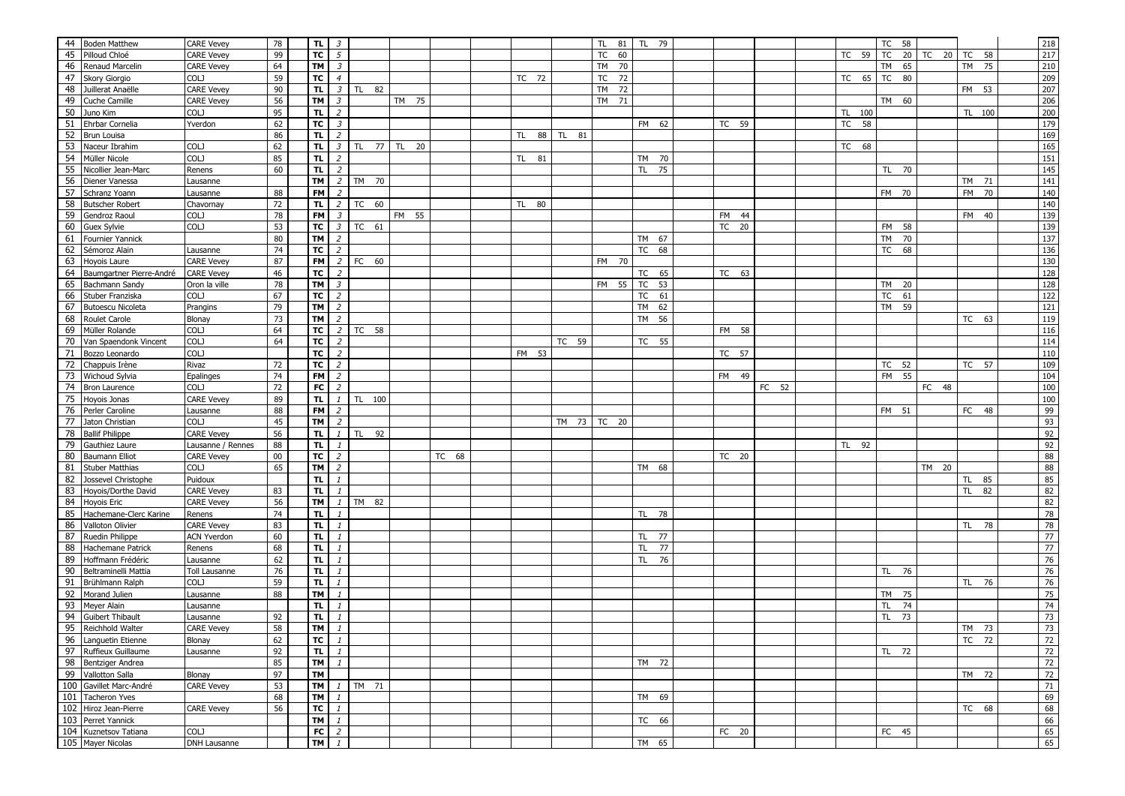|     | 44 Boden Matthew                           | <b>CARE Vevey</b>           | 78 |           | TL.             | $\overline{3}$                 |           |             |       |           |       | TL.<br>81       | TL 79           |       |       |        | <b>TC</b><br>58   |          |                 | 218      |
|-----|--------------------------------------------|-----------------------------|----|-----------|-----------------|--------------------------------|-----------|-------------|-------|-----------|-------|-----------------|-----------------|-------|-------|--------|-------------------|----------|-----------------|----------|
| 45  | Pilloud Chloé                              | <b>CARE Vevey</b>           | 99 |           | TC              | 5                              |           |             |       |           |       | TC<br>60        |                 |       |       | TC 59  | <b>TC</b><br>20   | 20<br>TC | <b>TC</b><br>58 | 217      |
| -46 | Renaud Marcelin                            | <b>CARE Vevey</b>           | 64 |           | TM              | $\mathfrak{Z}$                 |           |             |       |           |       | 70<br><b>TM</b> |                 |       |       |        | <b>TM</b><br>65   |          | <b>TM</b><br>75 | 210      |
| 47  | <b>Skory Giorgio</b>                       | COLJ                        | 59 |           | TC              | $\overline{4}$                 |           |             |       | TC 72     |       | TC<br>72        |                 |       |       | TC 65  | TC<br>80          |          |                 | 209      |
|     |                                            |                             |    |           |                 |                                |           |             |       |           |       |                 |                 |       |       |        |                   |          |                 |          |
| 48  | Juillerat Anaëlle                          | <b>CARE Vevey</b>           | 90 | TL.       |                 | $\mathfrak{Z}$                 | 82<br>TL. |             |       |           |       | TM 72           |                 |       |       |        |                   |          | FM 53           | 207      |
| 49  | Cuche Camille                              | <b>CARE Vevey</b>           | 56 |           | <b>TM</b>       | $\mathfrak{Z}$                 |           | TM 75       |       |           |       | TM 71           |                 |       |       |        | TM 60             |          |                 | 206      |
| 50  | Juno Kim                                   | COLJ                        | 95 |           | TL.             | $\overline{2}$                 |           |             |       |           |       |                 |                 |       |       | TL 100 |                   |          | TL 100          | 200      |
| 51  | Ehrbar Cornelia                            | Yverdon                     | 62 |           | TC              | $\mathfrak{Z}$                 |           |             |       |           |       |                 | FM 62           | TC 59 |       | TC 58  |                   |          |                 | 179      |
| 52  | <b>Brun Louisa</b>                         |                             | 86 |           | TL.             | $\overline{2}$                 |           |             |       | 88<br>TL. | TL 81 |                 |                 |       |       |        |                   |          |                 | 169      |
| 53  | Naceur Ibrahim                             | COLJ                        | 62 |           | TL.             | $\mathcal{Z}$                  |           | TL 77 TL 20 |       |           |       |                 |                 |       |       | TC 68  |                   |          |                 | 165      |
| 54  | Müller Nicole                              | COLJ                        | 85 | TL.       |                 | $\overline{2}$                 |           |             |       | TL 81     |       |                 | TM 70           |       |       |        |                   |          |                 | 151      |
| 55  | Nicollier Jean-Marc                        | Renens                      | 60 |           | TL.             | $\overline{2}$                 |           |             |       |           |       |                 | <b>TL</b><br>75 |       |       |        | 70<br>TL          |          |                 | 145      |
| 56  | Diener Vanessa                             | Lausanne                    |    |           | <b>TM</b>       | $\overline{2}$                 | TM 70     |             |       |           |       |                 |                 |       |       |        |                   |          | TM 71           | 141      |
| 57  | Schranz Yoann                              |                             | 88 |           |                 | $\overline{2}$                 |           |             |       |           |       |                 |                 |       |       |        | FM 70             |          | FM 70           | 140      |
|     |                                            | Lausanne                    |    |           | <b>FM</b>       |                                |           |             |       |           |       |                 |                 |       |       |        |                   |          |                 |          |
| 58  | <b>Butscher Robert</b>                     | Chavornay                   | 72 |           | TL              | $\overline{2}$                 | TC 60     |             |       | TL 80     |       |                 |                 |       |       |        |                   |          |                 | 140      |
| 59  | Gendroz Raoul                              | COLJ                        | 78 |           | <b>FM</b>       | $\mathfrak{Z}$                 |           | FM 55       |       |           |       |                 |                 | FM 44 |       |        |                   |          | FM 40           | 139      |
| 60  | Guex Sylvie                                | COLJ                        | 53 |           | TC              | $\mathfrak{Z}$                 | TC 61     |             |       |           |       |                 |                 | TC 20 |       |        | <b>FM</b><br>- 58 |          |                 | 139      |
| 61  | Fournier Yannick                           |                             | 80 |           | TM              | $\overline{2}$                 |           |             |       |           |       |                 | TM 67           |       |       |        | TM<br>70          |          |                 | 137      |
| 62  | Sémoroz Alain                              | Lausanne                    | 74 |           | TC              | $\overline{2}$                 |           |             |       |           |       |                 | TC 68           |       |       |        | 68<br>TC          |          |                 | 136      |
| 63  | Hoyois Laure                               | <b>CARE Vevey</b>           | 87 |           | <b>FM</b>       | $\overline{2}$                 | FC 60     |             |       |           |       | FM 70           |                 |       |       |        |                   |          |                 | 130      |
| 64  | Baumgartner Pierre-André                   | <b>CARE Vevey</b>           | 46 |           | TC              | $\overline{2}$                 |           |             |       |           |       |                 | TC 65           | TC 63 |       |        |                   |          |                 | 128      |
| 65  | Bachmann Sandy                             | Oron la ville               | 78 |           | <b>TM</b>       | $\mathfrak{Z}$                 |           |             |       |           |       | FM 55           | TC<br>53        |       |       |        | <b>TM</b><br>20   |          |                 | 128      |
| 66  | Stuber Franziska                           | COLJ                        | 67 |           | <b>TC</b>       | $\overline{2}$                 |           |             |       |           |       |                 | <b>TC</b><br>61 |       |       |        | <b>TC</b><br>61   |          |                 | 122      |
|     |                                            |                             |    |           |                 |                                |           |             |       |           |       |                 |                 |       |       |        | 59                |          |                 |          |
| 67  | <b>Butoescu Nicoleta</b>                   | Prangins                    | 79 |           | TM              | $\overline{2}$                 |           |             |       |           |       |                 | TM<br>62        |       |       |        | <b>TM</b>         |          |                 | 121      |
| 68  | <b>Roulet Carole</b>                       | Blonay                      | 73 |           | <b>TM</b>       | $\overline{2}$                 |           |             |       |           |       |                 | TM 56           |       |       |        |                   |          | TC 63           | 119      |
| 69  | Müller Rolande                             | COLJ                        | 64 |           | TC              | $\overline{2}$                 | TC 58     |             |       |           |       |                 |                 | FM 58 |       |        |                   |          |                 | 116      |
| 70  | Van Spaendonk Vincent                      | <b>COLJ</b>                 | 64 |           | TC              | $\overline{2}$                 |           |             |       |           | TC 59 |                 | TC 55           |       |       |        |                   |          |                 | 114      |
| 71  | Bozzo Leonardo                             | COLJ                        |    |           | TC              | $\overline{z}$                 |           |             |       | FM 53     |       |                 |                 | TC 57 |       |        |                   |          |                 | 110      |
| 72  | Chappuis Irène                             | Rivaz                       | 72 |           | TC              | $\overline{2}$                 |           |             |       |           |       |                 |                 |       |       |        | 52<br>TC          |          | TC 57           | 109      |
| 73  | Wichoud Sylvia                             | Epalinges                   | 74 |           | <b>FM</b>       | $\overline{2}$                 |           |             |       |           |       |                 |                 | FM 49 |       |        | FM 55             |          |                 | 104      |
| 74  | Bron Laurence                              | COLJ                        | 72 |           | <b>FC</b>       | $\overline{2}$                 |           |             |       |           |       |                 |                 |       | FC 52 |        |                   | FC 48    |                 | 100      |
| 75  | Hovois Jonas                               | <b>CARE Vevey</b>           | 89 | TL.       |                 | $\mathbf{1}$                   | TL 100    |             |       |           |       |                 |                 |       |       |        |                   |          |                 | 100      |
| 76  | Perler Caroline                            | Lausanne                    | 88 |           | <b>FM</b>       | $\overline{2}$                 |           |             |       |           |       |                 |                 |       |       |        | FM 51             |          | FC 48           | 99       |
| 77  | Jaton Christian                            | COLJ                        | 45 |           | <b>TM</b>       | $\overline{2}$                 |           |             |       |           | TM 73 | TC 20           |                 |       |       |        |                   |          |                 | 93       |
| 78  | <b>Ballif Philippe</b>                     | <b>CARE Vevey</b>           | 56 |           | TL.             | $\mathbf{1}$                   | 92<br>TL. |             |       |           |       |                 |                 |       |       |        |                   |          |                 | 92       |
| 79  | Gauthiez Laure                             | Lausanne / Rennes           | 88 |           | TL              | 1                              |           |             |       |           |       |                 |                 |       |       | TL 92  |                   |          |                 |          |
|     |                                            | <b>CARE Vevey</b>           |    |           |                 |                                |           |             |       |           |       |                 |                 |       |       |        |                   |          |                 | 92<br>88 |
| 80  | <b>Baumann Elliot</b>                      |                             |    |           |                 |                                |           |             |       |           |       |                 |                 |       |       |        |                   |          |                 |          |
| 81  |                                            |                             | 00 | <b>TC</b> |                 | $\overline{2}$                 |           |             | TC 68 |           |       |                 |                 | TC 20 |       |        |                   |          |                 |          |
|     | <b>Stuber Matthias</b>                     | COLJ                        | 65 |           | TM              | $\overline{2}$                 |           |             |       |           |       |                 | TM 68           |       |       |        |                   | TM 20    |                 | 88       |
| 82  | Jossevel Christophe                        | Puidoux                     |    | TL.       |                 | $\mathbf{1}$                   |           |             |       |           |       |                 |                 |       |       |        |                   |          | 85<br>TL.       | 85       |
| 83  | Hoyois/Dorthe David                        | <b>CARE Vevey</b>           | 83 | TL.       |                 | $\mathbf{1}$                   |           |             |       |           |       |                 |                 |       |       |        |                   |          | 82<br>TL.       | 82       |
| 84  | <b>Hoyois Eric</b>                         | <b>CARE Vevey</b>           | 56 |           | TM              | 1                              | TM 82     |             |       |           |       |                 |                 |       |       |        |                   |          |                 | 82       |
| 85  | Hachemane-Clerc Karine                     | Renens                      | 74 |           | TL.             | $\mathbf{1}$                   |           |             |       |           |       |                 | TL 78           |       |       |        |                   |          |                 | 78       |
| 86  | Valloton Olivier                           | <b>CARE Vevey</b>           | 83 |           | TL.             | $\mathbf{1}$                   |           |             |       |           |       |                 |                 |       |       |        |                   |          | 78<br>TL.       | 78       |
| 87  | Ruedin Philippe                            | <b>ACN Yverdon</b>          | 60 |           | TL.             | 1                              |           |             |       |           |       |                 | TL.<br>77       |       |       |        |                   |          |                 |          |
| 88  | Hachemane Patrick                          | Renens                      | 68 |           | TL.             | $\mathbf{1}$                   |           |             |       |           |       |                 | 77<br><b>TL</b> |       |       |        |                   |          |                 | 77       |
|     |                                            |                             |    |           |                 |                                |           |             |       |           |       |                 |                 |       |       |        |                   |          |                 | 77       |
| 89  | Hoffmann Frédéric                          | Lausanne                    | 62 |           | TL.             | $\mathbf{1}$                   |           |             |       |           |       |                 | TL 76           |       |       |        |                   |          |                 | 76       |
| 90  | Beltraminelli Mattia                       | Toll Lausanne               | 76 | TL.       |                 | $\mathbf{1}$                   |           |             |       |           |       |                 |                 |       |       |        | 76<br>TL          |          |                 | 76       |
| 91  | Brühlmann Ralph                            | COLJ                        | 59 |           | TL.             | $\mathbf{1}$                   |           |             |       |           |       |                 |                 |       |       |        |                   |          | TL 76           | 76       |
| 92  | Morand Julien                              | Lausanne                    | 88 |           | TM              | $\mathbf{1}$                   |           |             |       |           |       |                 |                 |       |       |        | TM 75             |          |                 | 75       |
| 93  | Meyer Alain                                | Lausanne                    |    | TL.       |                 | $\mathbf{1}$                   |           |             |       |           |       |                 |                 |       |       |        | 74<br>TL          |          |                 | 74       |
| 94  | <b>Guibert Thibault</b>                    | Lausanne                    | 92 |           | <b>TL</b>       | $\mathbf{1}$                   |           |             |       |           |       |                 |                 |       |       |        | TL.<br>73         |          |                 | 73       |
|     | 95 Reichhold Walter                        | <b>CARE Vevey</b>           | 58 |           | TM              | $\mathbf{1}$                   |           |             |       |           |       |                 |                 |       |       |        |                   |          | TM 73           | 73       |
|     | 96 Languetin Etienne                       | Blonay                      | 62 |           |                 | $TC$ $1$                       |           |             |       |           |       |                 |                 |       |       |        |                   |          | TC 72           | 72       |
| 97  | Ruffieux Guillaume                         | Lausanne                    | 92 |           | TL.             | $\mathbf{1}$                   |           |             |       |           |       |                 |                 |       |       |        | TL 72             |          |                 | 72       |
| 98  | Bentziger Andrea                           |                             | 85 | <b>TM</b> |                 | $\mathbf{1}$                   |           |             |       |           |       |                 | TM 72           |       |       |        |                   |          |                 | 72       |
|     |                                            |                             |    |           | TM              |                                |           |             |       |           |       |                 |                 |       |       |        |                   |          | TM 72           |          |
|     | 99 Vallotton Salla                         | Blonay                      | 97 |           |                 | $\mathbf{1}$                   |           |             |       |           |       |                 |                 |       |       |        |                   |          |                 | 72       |
|     | 100 Gavillet Marc-André                    | <b>CARE Vevey</b>           | 53 |           | <b>TM</b>       |                                | TM 71     |             |       |           |       |                 |                 |       |       |        |                   |          |                 | 71       |
|     | 101 Tacheron Yves                          |                             | 68 |           | <b>TM</b>       | $\mathbf{1}$                   |           |             |       |           |       |                 | TM 69           |       |       |        |                   |          |                 | 69       |
|     | 102 Hiroz Jean-Pierre                      | <b>CARE Vevey</b>           | 56 |           | TC              | $\mathbf{1}$                   |           |             |       |           |       |                 |                 |       |       |        |                   |          | TC 68           | 68       |
|     | 103 Perret Yannick                         |                             |    | <b>TM</b> |                 | $\mathbf{1}$                   |           |             |       |           |       |                 | TC 66           |       |       |        |                   |          |                 | 66       |
|     | 104 Kuznetsov Tatiana<br>105 Mayer Nicolas | COLJ<br><b>DNH Lausanne</b> |    |           | FC<br><b>TM</b> | $\overline{2}$<br>$\mathbf{1}$ |           |             |       |           |       |                 | TM 65           | FC 20 |       |        | FC 45             |          |                 | 65<br>65 |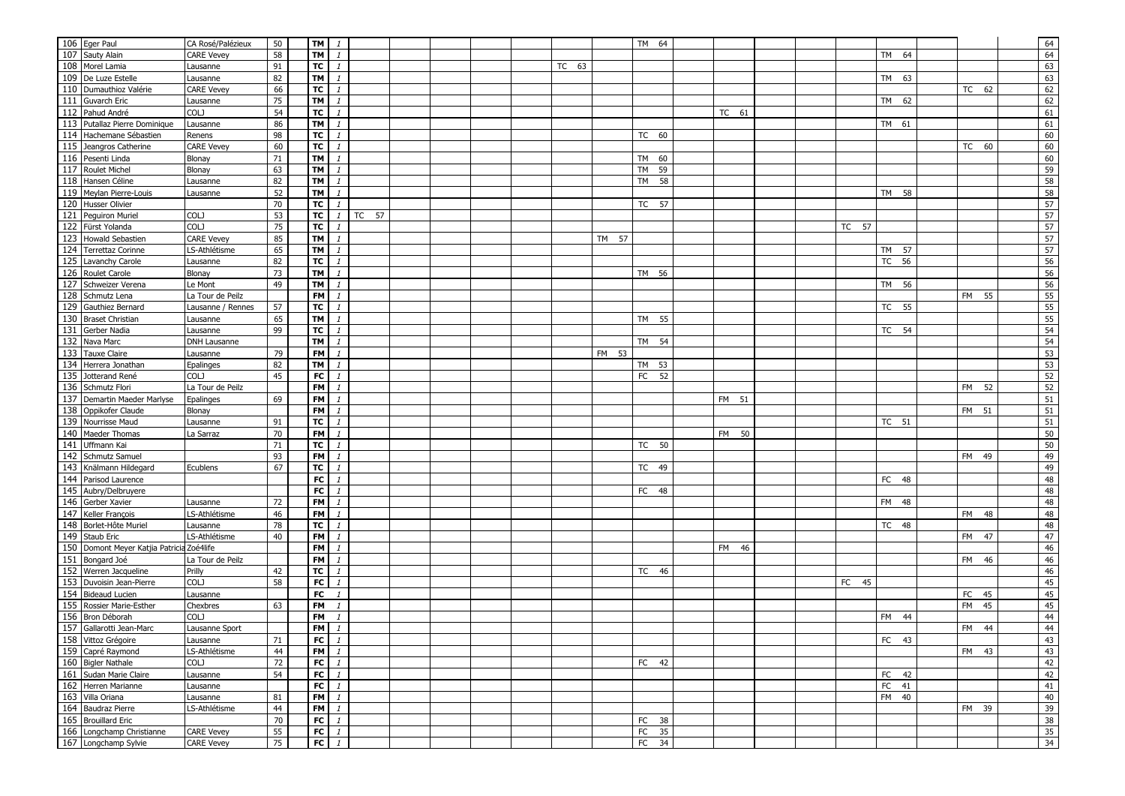| 106 Eger Paul                             | CA Rosé/Palézieux | 50 | TM        | 1                         |       |  |  |       |       | TM 64           |       |  |          |                 |                 |    | 64 |
|-------------------------------------------|-------------------|----|-----------|---------------------------|-------|--|--|-------|-------|-----------------|-------|--|----------|-----------------|-----------------|----|----|
| 107 Sauty Alain                           | <b>CARE Vevey</b> | 58 | <b>TM</b> | $\mathbf{1}$              |       |  |  |       |       |                 |       |  |          | TM 64           |                 |    | 64 |
| 108 Morel Lamia                           | Lausanne          | 91 | <b>TC</b> | 1                         |       |  |  | TC 63 |       |                 |       |  |          |                 |                 |    | 63 |
| 109 De Luze Estelle                       | Lausanne          | 82 | TM        | $\mathbf{1}$              |       |  |  |       |       |                 |       |  |          | TM 63           |                 |    | 63 |
| 110 Dumauthioz Valérie                    | <b>CARE Vevey</b> | 66 | <b>TC</b> | $\mathbf{1}$              |       |  |  |       |       |                 |       |  |          |                 | TC 62           |    | 62 |
| 111 Guvarch Eric                          | Lausanne          | 75 | TM        | $\mathbf{1}$              |       |  |  |       |       |                 |       |  |          | TM<br>62        |                 |    | 62 |
| 112 Pahud André                           | COLJ              | 54 | <b>TC</b> | $\mathbf{1}$              |       |  |  |       |       |                 | TC 61 |  |          |                 |                 |    | 61 |
| 113 Putallaz Pierre Dominique             |                   | 86 | TM        | $\mathbf{1}$              |       |  |  |       |       |                 |       |  |          |                 |                 |    | 61 |
|                                           | Lausanne          |    |           |                           |       |  |  |       |       |                 |       |  |          | TM 61           |                 |    |    |
| 114 Hachemane Sébastien                   | Renens            | 98 | <b>TC</b> | $\boldsymbol{\mathit{1}}$ |       |  |  |       |       | TC 60           |       |  |          |                 |                 |    | 60 |
| 115 Jeangros Catherine                    | <b>CARE Vevey</b> | 60 | <b>TC</b> | $\mathbf{1}$              |       |  |  |       |       |                 |       |  |          |                 | TC 60           |    | 60 |
| 116 Pesenti Linda                         | Blonay            | 71 | TM        | $\mathbf{1}$              |       |  |  |       |       | TM 60           |       |  |          |                 |                 |    | 60 |
| 117 Roulet Michel                         | Blonay            | 63 | TM        | $\mathbf{1}$              |       |  |  |       |       | TM 59           |       |  |          |                 |                 |    | 59 |
| 118 Hansen Céline                         | Lausanne          | 82 | TM        | $\mathbf{1}$              |       |  |  |       |       | 58<br><b>TM</b> |       |  |          |                 |                 |    | 58 |
| 119 Meylan Pierre-Louis                   | Lausanne          | 52 | TM        | $\mathbf{1}$              |       |  |  |       |       |                 |       |  |          | TM 58           |                 |    | 58 |
| 120 Husser Olivier                        |                   | 70 | <b>TC</b> | $\mathbf{1}$              |       |  |  |       |       | TC 57           |       |  |          |                 |                 |    | 57 |
| 121 Peguiron Muriel                       | COLJ              | 53 | <b>TC</b> | $\mathbf{1}$              | TC 57 |  |  |       |       |                 |       |  |          |                 |                 |    | 57 |
| 122 Fürst Yolanda                         | COLJ              | 75 | TC        | $\mathbf{1}$              |       |  |  |       |       |                 |       |  | TC 57    |                 |                 |    | 57 |
| 123 Howald Sebastien                      | <b>CARE Vevey</b> | 85 | TM        | 1                         |       |  |  |       | TM 57 |                 |       |  |          |                 |                 |    | 57 |
| 124 Terrettaz Corinne                     | LS-Athlétisme     | 65 | TM        | $\mathbf{1}$              |       |  |  |       |       |                 |       |  |          | TM 57           |                 |    | 57 |
| 125 Lavanchy Carole                       | Lausanne          | 82 | TC        | 1                         |       |  |  |       |       |                 |       |  |          | 56<br>TC        |                 |    | 56 |
| 126 Roulet Carole                         | Blonay            | 73 | TM        | $\mathbf{1}$              |       |  |  |       |       | TM 56           |       |  |          |                 |                 |    | 56 |
| 127 Schweizer Verena                      | Le Mont           | 49 | <b>TM</b> | $\mathbf{1}$              |       |  |  |       |       |                 |       |  |          | <b>TM</b><br>56 |                 |    | 56 |
| 128 Schmutz Lena                          | La Tour de Peilz  |    | <b>FM</b> | $\mathbf{1}$              |       |  |  |       |       |                 |       |  |          |                 | FM 55           |    | 55 |
| 129 Gauthiez Bernard                      | Lausanne / Rennes | 57 | TC        | $\mathbf{1}$              |       |  |  |       |       |                 |       |  |          | TC<br>55        |                 |    | 55 |
| 130 Braset Christian                      | Lausanne          | 65 | TM        | $\mathbf{1}$              |       |  |  |       |       | TM 55           |       |  |          |                 |                 |    | 55 |
| 131 Gerber Nadia                          | Lausanne          | 99 | <b>TC</b> | $\mathbf{1}$              |       |  |  |       |       |                 |       |  |          | TC 54           |                 |    | 54 |
| 132 Nava Marc                             | DNH Lausanne      |    | TM        | $\mathbf{1}$              |       |  |  |       |       | TM 54           |       |  |          |                 |                 |    | 54 |
| 133 Tauxe Claire                          |                   |    |           |                           |       |  |  |       |       |                 |       |  |          |                 |                 |    | 53 |
|                                           | Lausanne          | 79 | <b>FM</b> | $\mathbf{1}$              |       |  |  |       | FM 53 |                 |       |  |          |                 |                 |    |    |
| 134 Herrera Jonathan                      | Epalinges         | 82 | TM        | $\mathbf{1}$              |       |  |  |       |       | TM 53           |       |  |          |                 |                 |    | 53 |
| 135 Jotterand René                        | COLJ              | 45 | FC        | $\mathbf{1}$              |       |  |  |       |       | FC 52           |       |  |          |                 |                 |    | 52 |
| 136 Schmutz Flori                         | La Tour de Peilz  |    | <b>FM</b> | $\mathbf{1}$              |       |  |  |       |       |                 |       |  |          |                 | <b>FM</b><br>52 |    | 52 |
| 137 Demartin Maeder Marlyse               | Epalinges         | 69 | <b>FM</b> |                           |       |  |  |       |       |                 | FM 51 |  |          |                 |                 |    | 51 |
| 138 Oppikofer Claude                      | Blonay            |    | <b>FM</b> |                           |       |  |  |       |       |                 |       |  |          |                 | FM 51           |    | 51 |
| 139 Nourrisse Maud                        | Lausanne          | 91 | <b>TC</b> | $\mathbf{1}$              |       |  |  |       |       |                 |       |  |          | TC 51           |                 |    | 51 |
| 140 Maeder Thomas                         | a Sarraz          | 70 | <b>FM</b> | $\mathbf{1}$              |       |  |  |       |       |                 | FM 50 |  |          |                 |                 |    | 50 |
| 141 Uffmann Kai                           |                   | 71 | TC        | $\mathbf{1}$              |       |  |  |       |       | TC 50           |       |  |          |                 |                 |    | 50 |
| 142 Schmutz Samuel                        |                   | 93 | <b>FM</b> | $\mathbf{1}$              |       |  |  |       |       |                 |       |  |          |                 | FM 49           |    | 49 |
| 143 Knälmann Hildegard                    | Ecublens          | 67 | <b>TC</b> | $\mathbf{1}$              |       |  |  |       |       | TC 49           |       |  |          |                 |                 |    | 49 |
| 144 Parisod Laurence                      |                   |    | FC        | $\mathbf{1}$              |       |  |  |       |       |                 |       |  |          | FC 48           |                 |    | 48 |
| 145 Aubry/Delbruyere                      |                   |    | FC        | $\mathbf{1}$              |       |  |  |       |       | FC 48           |       |  |          |                 |                 |    | 48 |
| 146 Gerber Xavier                         | Lausanne          | 72 | <b>FM</b> | $\mathbf{1}$              |       |  |  |       |       |                 |       |  |          | FM 48           |                 |    | 48 |
| 147 Keller François                       | S-Athlétisme      | 46 | <b>FM</b> | $\mathbf{1}$              |       |  |  |       |       |                 |       |  |          |                 | <b>FM</b><br>48 |    | 48 |
| 148 Borlet-Hôte Muriel                    | Lausanne          | 78 | TC        | $\mathbf{1}$              |       |  |  |       |       |                 |       |  |          | TC 48           |                 |    | 48 |
| 149 Staub Eric                            | LS-Athlétisme     | 40 | <b>FM</b> | $\mathbf{1}$              |       |  |  |       |       |                 |       |  |          |                 | FM 47           |    | 47 |
| 150 Domont Meyer Katjia Patricia Zoé4life |                   |    | <b>FM</b> | $\mathbf{1}$              |       |  |  |       |       |                 | FM 46 |  |          |                 |                 |    | 46 |
| 151 Bongard Joé                           | La Tour de Peilz  |    | <b>FM</b> | $\mathbf{1}$              |       |  |  |       |       |                 |       |  |          |                 | <b>FM</b>       | 46 | 46 |
| 152 Werren Jacqueline                     | Prilly            | 42 | TC        | 1                         |       |  |  |       |       | TC 46           |       |  |          |                 |                 |    | 46 |
| 153 Duvoisin Jean-Pierre                  | COLJ              | 58 | FC        | $\mathbf{1}$              |       |  |  |       |       |                 |       |  | FC<br>45 |                 |                 |    | 45 |
| 154 Bideaud Lucien                        |                   |    | <b>FC</b> | $\mathbf{1}$              |       |  |  |       |       |                 |       |  |          |                 |                 |    | 45 |
|                                           | Lausanne          |    |           |                           |       |  |  |       |       |                 |       |  |          |                 | FC 45           |    |    |
| 155 Rossier Marie-Esther                  | Chexbres          | 63 | <b>FM</b> |                           |       |  |  |       |       |                 |       |  |          |                 | FM              | 45 | 45 |
| 156 Bron Déborah                          | COLJ              |    | <b>FM</b> | $\mathbf{1}$              |       |  |  |       |       |                 |       |  |          | FM<br>44        |                 |    | 44 |
| 157 Gallarotti Jean-Marc                  | Lausanne Sport    |    | <b>FM</b> | $\mathbf{1}$              |       |  |  |       |       |                 |       |  |          |                 | FM              | 44 | 44 |
| 158 Vittoz Grégoire                       | Lausanne          | 71 | $FC$ $1$  |                           |       |  |  |       |       |                 |       |  |          | FC 43           |                 |    | 43 |
| 159 Capré Raymond                         | LS-Athlétisme     | 44 | <b>FM</b> | $\mathbf{1}$              |       |  |  |       |       |                 |       |  |          |                 | FM 43           |    | 43 |
| 160 Bigler Nathale                        | COLJ              | 72 | FC        | $\mathbf{1}$              |       |  |  |       |       | FC 42           |       |  |          |                 |                 |    | 42 |
| 161 Sudan Marie Claire                    | Lausanne          | 54 | FC        | $\mathbf{1}$              |       |  |  |       |       |                 |       |  |          | FC 42           |                 |    | 42 |
| 162 Herren Marianne                       | Lausanne          |    | <b>FC</b> | $\mathbf{1}$              |       |  |  |       |       |                 |       |  |          | FC<br>41        |                 |    | 41 |
| 163 Villa Oriana                          | Lausanne          | 81 | <b>FM</b> | $\mathbf{1}$              |       |  |  |       |       |                 |       |  |          | FM 40           |                 |    | 40 |
| 164 Baudraz Pierre                        | LS-Athlétisme     | 44 | <b>FM</b> | $\mathbf{1}$              |       |  |  |       |       |                 |       |  |          |                 | FM 39           |    | 39 |
| 165 Brouillard Eric                       |                   | 70 | <b>FC</b> | $\mathbf{1}$              |       |  |  |       |       | FC 38           |       |  |          |                 |                 |    | 38 |
| 166 Longchamp Christianne                 | <b>CARE Vevey</b> | 55 | <b>FC</b> | $\mathbf{1}$              |       |  |  |       |       | FC 35           |       |  |          |                 |                 |    | 35 |
| 167 Longchamp Sylvie                      | <b>CARE Vevey</b> | 75 | FC        | $\mathbf{1}$              |       |  |  |       |       | FC 34           |       |  |          |                 |                 |    | 34 |
|                                           |                   |    |           |                           |       |  |  |       |       |                 |       |  |          |                 |                 |    |    |